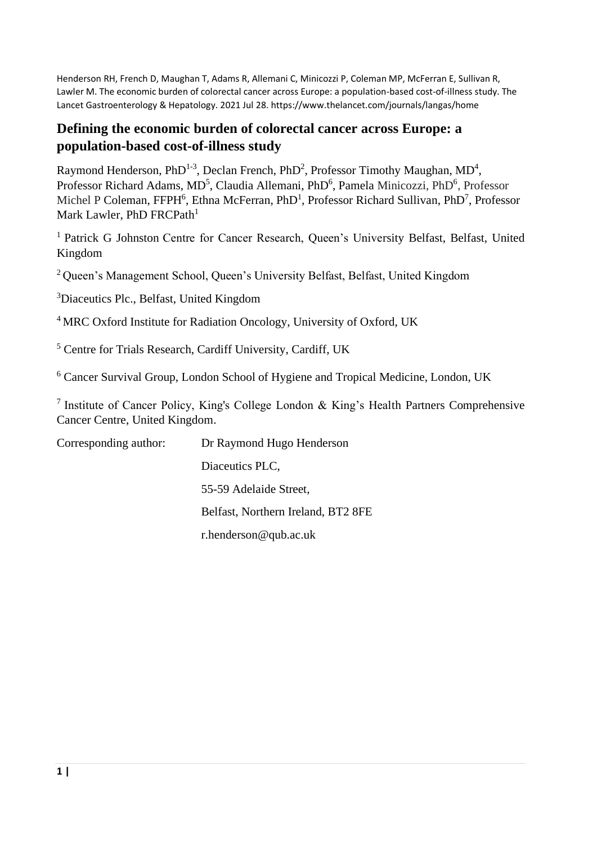Henderson RH, French D, Maughan T, Adams R, Allemani C, Minicozzi P, Coleman MP, McFerran E, Sullivan R, Lawler M. The economic burden of colorectal cancer across Europe: a population-based cost-of-illness study. The Lancet Gastroenterology & Hepatology. 2021 Jul 28. https://www.thelancet.com/journals/langas/home

# **Defining the economic burden of colorectal cancer across Europe: a population-based cost-of-illness study**

Raymond Henderson, PhD<sup>1-3</sup>, Declan French, PhD<sup>2</sup>, Professor Timothy Maughan, MD<sup>4</sup>, Professor Richard Adams, MD<sup>5</sup>, Claudia Allemani, PhD<sup>6</sup>, Pamela Minicozzi, PhD<sup>6</sup>, Professor Michel P Coleman, FFPH<sup>6</sup>, Ethna McFerran, PhD<sup>1</sup>, Professor Richard Sullivan, PhD<sup>7</sup>, Professor Mark Lawler, PhD FRCPath<sup>1</sup>

<sup>1</sup> Patrick G Johnston Centre for Cancer Research, Queen's University Belfast, Belfast, United Kingdom

<sup>2</sup> Queen's Management School, Queen's University Belfast, Belfast, United Kingdom

<sup>3</sup>Diaceutics Plc., Belfast, United Kingdom

<sup>4</sup> MRC Oxford Institute for Radiation Oncology, University of Oxford, UK

<sup>5</sup> Centre for Trials Research, Cardiff University, Cardiff, UK

<sup>6</sup> Cancer Survival Group, London School of Hygiene and Tropical Medicine, London, UK

<sup>7</sup> Institute of Cancer Policy, King's College London & King's Health Partners Comprehensive Cancer Centre, United Kingdom.

| Corresponding author: | Dr Raymond Hugo Henderson          |
|-----------------------|------------------------------------|
|                       | Diaceutics PLC,                    |
|                       | 55-59 Adelaide Street,             |
|                       | Belfast, Northern Ireland, BT2 8FE |
|                       | $r.$ henderson@qub.ac.uk           |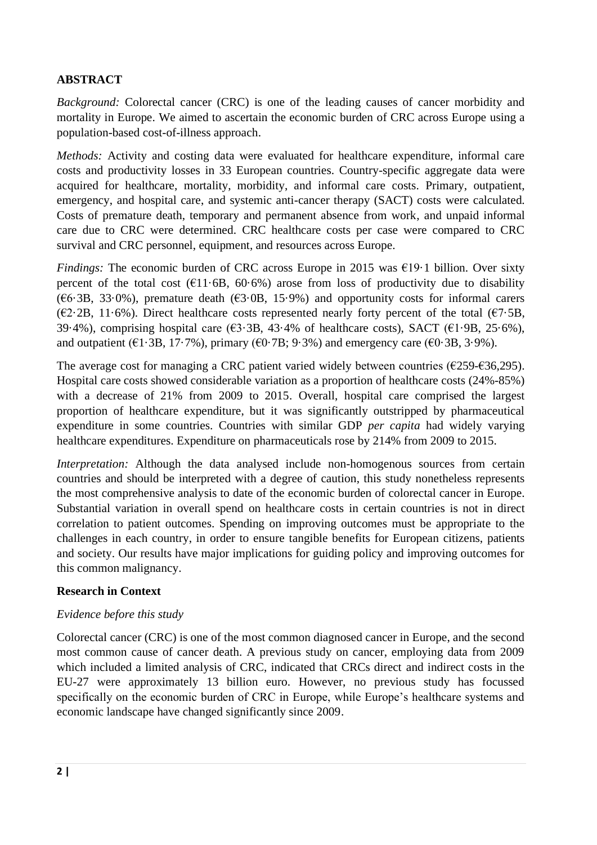# **ABSTRACT**

*Background:* Colorectal cancer (CRC) is one of the leading causes of cancer morbidity and mortality in Europe. We aimed to ascertain the economic burden of CRC across Europe using a population-based cost-of-illness approach.

*Methods:* Activity and costing data were evaluated for healthcare expenditure, informal care costs and productivity losses in 33 European countries. Country-specific aggregate data were acquired for healthcare, mortality, morbidity, and informal care costs. Primary, outpatient, emergency, and hospital care, and systemic anti-cancer therapy (SACT) costs were calculated. Costs of premature death, temporary and permanent absence from work, and unpaid informal care due to CRC were determined. CRC healthcare costs per case were compared to CRC survival and CRC personnel, equipment, and resources across Europe.

*Findings:* The economic burden of CRC across Europe in 2015 was €19.1 billion. Over sixty percent of the total cost ( $\epsilon$ 11.6B, 60.6%) arose from loss of productivity due to disability ( $6.3B$ ,  $33.0\%$ ), premature death ( $63.0B$ ,  $15.9\%$ ) and opportunity costs for informal carers ( $\epsilon$ 2·2B, 11·6%). Direct healthcare costs represented nearly forty percent of the total ( $\epsilon$ 7·5B, 39.4%), comprising hospital care ( $63.3B$ , 43.4% of healthcare costs), SACT ( $61.9B$ , 25.6%), and outpatient ( $\epsilon$ 1·3B, 17·7%), primary ( $\epsilon$ 0·7B; 9·3%) and emergency care ( $\epsilon$ 0·3B, 3·9%).

The average cost for managing a CRC patient varied widely between countries ( $\epsilon$ 259- $\epsilon$ 36,295). Hospital care costs showed considerable variation as a proportion of healthcare costs (24%-85%) with a decrease of 21% from 2009 to 2015. Overall, hospital care comprised the largest proportion of healthcare expenditure, but it was significantly outstripped by pharmaceutical expenditure in some countries. Countries with similar GDP *per capita* had widely varying healthcare expenditures. Expenditure on pharmaceuticals rose by 214% from 2009 to 2015.

*Interpretation:* Although the data analysed include non-homogenous sources from certain countries and should be interpreted with a degree of caution, this study nonetheless represents the most comprehensive analysis to date of the economic burden of colorectal cancer in Europe. Substantial variation in overall spend on healthcare costs in certain countries is not in direct correlation to patient outcomes. Spending on improving outcomes must be appropriate to the challenges in each country, in order to ensure tangible benefits for European citizens, patients and society. Our results have major implications for guiding policy and improving outcomes for this common malignancy.

## **Research in Context**

## *Evidence before this study*

Colorectal cancer (CRC) is one of the most common diagnosed cancer in Europe, and the second most common cause of cancer death. A previous study on cancer, employing data from 2009 which included a limited analysis of CRC, indicated that CRCs direct and indirect costs in the EU-27 were approximately 13 billion euro. However, no previous study has focussed specifically on the economic burden of CRC in Europe, while Europe's healthcare systems and economic landscape have changed significantly since 2009.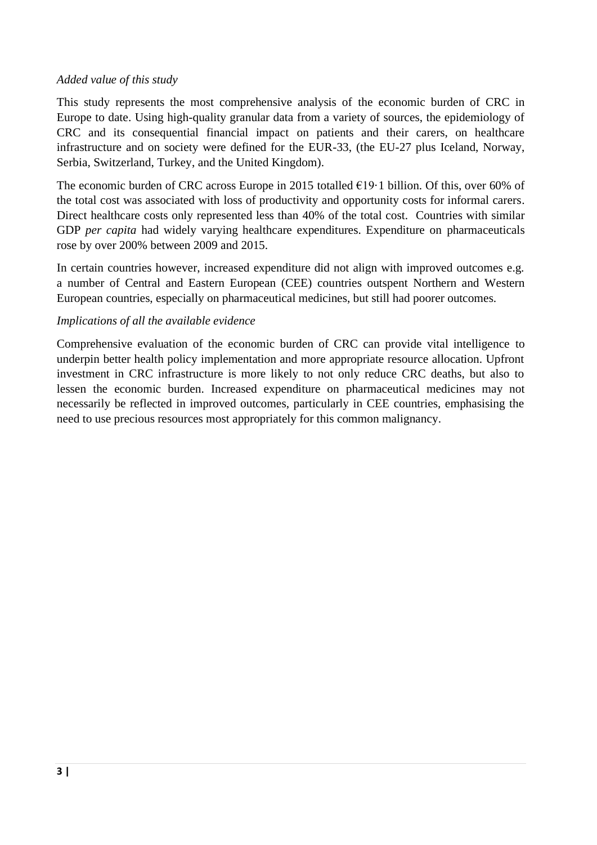#### *Added value of this study*

This study represents the most comprehensive analysis of the economic burden of CRC in Europe to date. Using high-quality granular data from a variety of sources, the epidemiology of CRC and its consequential financial impact on patients and their carers, on healthcare infrastructure and on society were defined for the EUR-33, (the EU-27 plus Iceland, Norway, Serbia, Switzerland, Turkey, and the United Kingdom).

The economic burden of CRC across Europe in 2015 totalled  $\epsilon$ 19·1 billion. Of this, over 60% of the total cost was associated with loss of productivity and opportunity costs for informal carers. Direct healthcare costs only represented less than 40% of the total cost. Countries with similar GDP *per capita* had widely varying healthcare expenditures. Expenditure on pharmaceuticals rose by over 200% between 2009 and 2015.

In certain countries however, increased expenditure did not align with improved outcomes e.g. a number of Central and Eastern European (CEE) countries outspent Northern and Western European countries, especially on pharmaceutical medicines, but still had poorer outcomes.

#### *Implications of all the available evidence*

Comprehensive evaluation of the economic burden of CRC can provide vital intelligence to underpin better health policy implementation and more appropriate resource allocation. Upfront investment in CRC infrastructure is more likely to not only reduce CRC deaths, but also to lessen the economic burden. Increased expenditure on pharmaceutical medicines may not necessarily be reflected in improved outcomes, particularly in CEE countries, emphasising the need to use precious resources most appropriately for this common malignancy.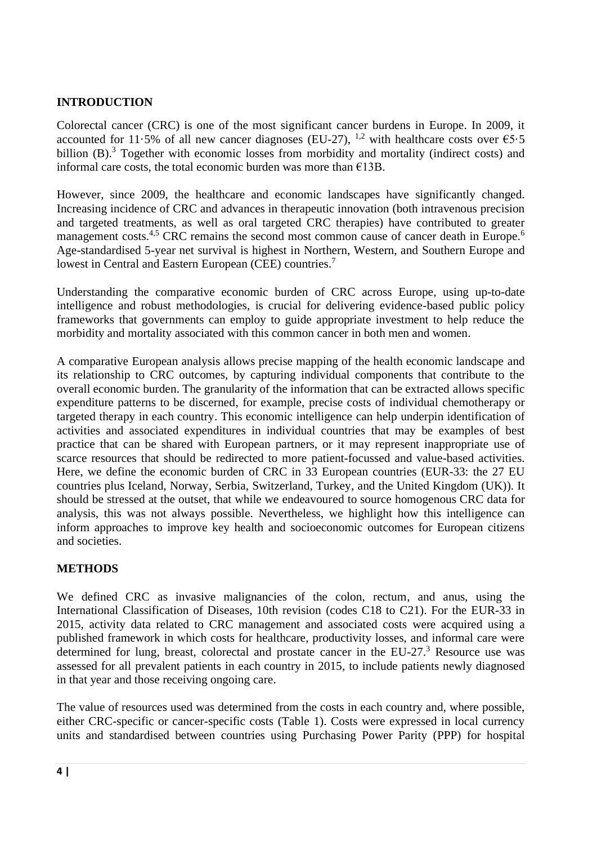# **INTRODUCTION**

Colorectal cancer (CRC) is one of the most significant cancer burdens in Europe. In 2009, it accounted for 11.5% of all new cancer diagnoses (EU-27), <sup>1,2</sup> with healthcare costs over  $65.5$ billion (B).<sup>3</sup> Together with economic losses from morbidity and mortality (indirect costs) and informal care costs, the total economic burden was more than  $E13B$ .

However, since 2009, the healthcare and economic landscapes have significantly changed. Increasing incidence of CRC and advances in therapeutic innovation (both intravenous precision and targeted treatments, as well as oral targeted CRC therapies) have contributed to greater management costs.<sup>4,5</sup> CRC remains the second most common cause of cancer death in Europe.<sup>6</sup> Age-standardised 5-year net survival is highest in Northern, Western, and Southern Europe and lowest in Central and Eastern European (CEE) countries.<sup>7</sup>

Understanding the comparative economic burden of CRC across Europe, using up-to-date intelligence and robust methodologies, is crucial for delivering evidence-based public policy frameworks that governments can employ to guide appropriate investment to help reduce the morbidity and mortality associated with this common cancer in both men and women.

A comparative European analysis allows precise mapping of the health economic landscape and its relationship to CRC outcomes, by capturing individual components that contribute to the overall economic burden. The granularity of the information that can be extracted allows specific expenditure patterns to be discerned, for example, precise costs of individual chemotherapy or targeted therapy in each country. This economic intelligence can help underpin identification of activities and associated expenditures in individual countries that may be examples of best practice that can be shared with European partners, or it may represent inappropriate use of scarce resources that should be redirected to more patient-focussed and value-based activities. Here, we define the economic burden of CRC in 33 European countries (EUR-33: the 27 EU countries plus Iceland, Norway, Serbia, Switzerland, Turkey, and the United Kingdom (UK)). It should be stressed at the outset, that while we endeavoured to source homogenous CRC data for analysis, this was not always possible. Nevertheless, we highlight how this intelligence can inform approaches to improve key health and socioeconomic outcomes for European citizens and societies.

## **METHODS**

We defined CRC as invasive malignancies of the colon, rectum, and anus, using the International Classification of Diseases, 10th revision (codes C18 to C21). For the EUR-33 in 2015, activity data related to CRC management and associated costs were acquired using a published framework in which costs for healthcare, productivity losses, and informal care were determined for lung, breast, colorectal and prostate cancer in the EU-27.<sup>3</sup> Resource use was assessed for all prevalent patients in each country in 2015, to include patients newly diagnosed in that year and those receiving ongoing care.

The value of resources used was determined from the costs in each country and, where possible, either CRC-specific or cancer-specific costs (Table 1). Costs were expressed in local currency units and standardised between countries using Purchasing Power Parity (PPP) for hospital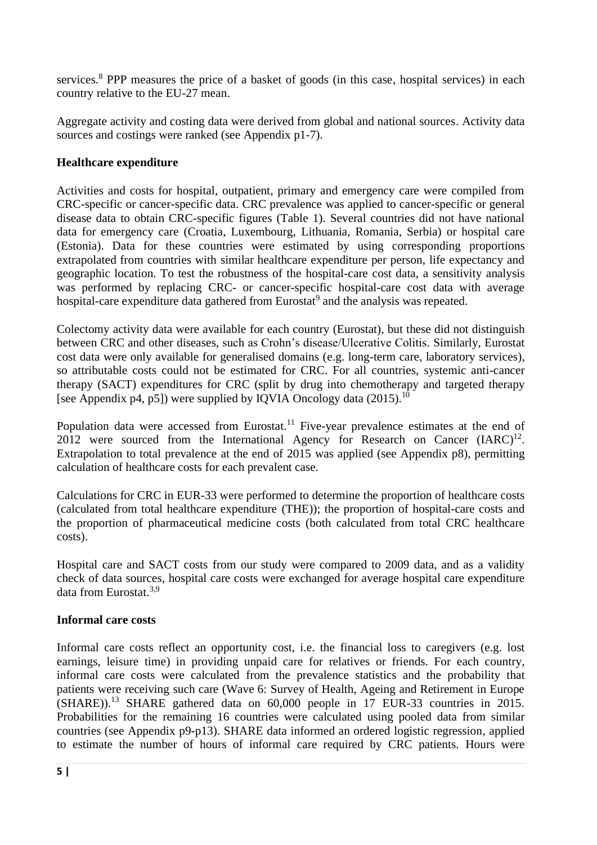services.<sup>8</sup> PPP measures the price of a basket of goods (in this case, hospital services) in each country relative to the EU-27 mean.

Aggregate activity and costing data were derived from global and national sources. Activity data sources and costings were ranked (see Appendix p1-7).

# **Healthcare expenditure**

Activities and costs for hospital, outpatient, primary and emergency care were compiled from CRC-specific or cancer-specific data. CRC prevalence was applied to cancer-specific or general disease data to obtain CRC-specific figures (Table 1). Several countries did not have national data for emergency care (Croatia, Luxembourg, Lithuania, Romania, Serbia) or hospital care (Estonia). Data for these countries were estimated by using corresponding proportions extrapolated from countries with similar healthcare expenditure per person, life expectancy and geographic location. To test the robustness of the hospital-care cost data, a sensitivity analysis was performed by replacing CRC- or cancer-specific hospital-care cost data with average hospital-care expenditure data gathered from Eurostat<sup>9</sup> and the analysis was repeated.

Colectomy activity data were available for each country (Eurostat), but these did not distinguish between CRC and other diseases, such as Crohn's disease/Ulcerative Colitis. Similarly, Eurostat cost data were only available for generalised domains (e.g. long-term care, laboratory services), so attributable costs could not be estimated for CRC. For all countries, systemic anti-cancer therapy (SACT) expenditures for CRC (split by drug into chemotherapy and targeted therapy [see Appendix p4, p5]) were supplied by IQVIA Oncology data  $(2015)$ .<sup>10</sup>

Population data were accessed from Eurostat.<sup>11</sup> Five-year prevalence estimates at the end of 2012 were sourced from the International Agency for Research on Cancer  $(IARC)^{12}$ . Extrapolation to total prevalence at the end of 2015 was applied (see Appendix p8), permitting calculation of healthcare costs for each prevalent case.

Calculations for CRC in EUR-33 were performed to determine the proportion of healthcare costs (calculated from total healthcare expenditure (THE)); the proportion of hospital-care costs and the proportion of pharmaceutical medicine costs (both calculated from total CRC healthcare costs).

Hospital care and SACT costs from our study were compared to 2009 data, and as a validity check of data sources, hospital care costs were exchanged for average hospital care expenditure data from Eurostat.3,9

## **Informal care costs**

Informal care costs reflect an opportunity cost, i.e. the financial loss to caregivers (e.g. lost earnings, leisure time) in providing unpaid care for relatives or friends. For each country, informal care costs were calculated from the prevalence statistics and the probability that patients were receiving such care (Wave 6: Survey of Health, Ageing and Retirement in Europe (SHARE)).<sup>13</sup> SHARE gathered data on 60,000 people in 17 EUR-33 countries in 2015. Probabilities for the remaining 16 countries were calculated using pooled data from similar countries (see Appendix p9-p13). SHARE data informed an ordered logistic regression, applied to estimate the number of hours of informal care required by CRC patients. Hours were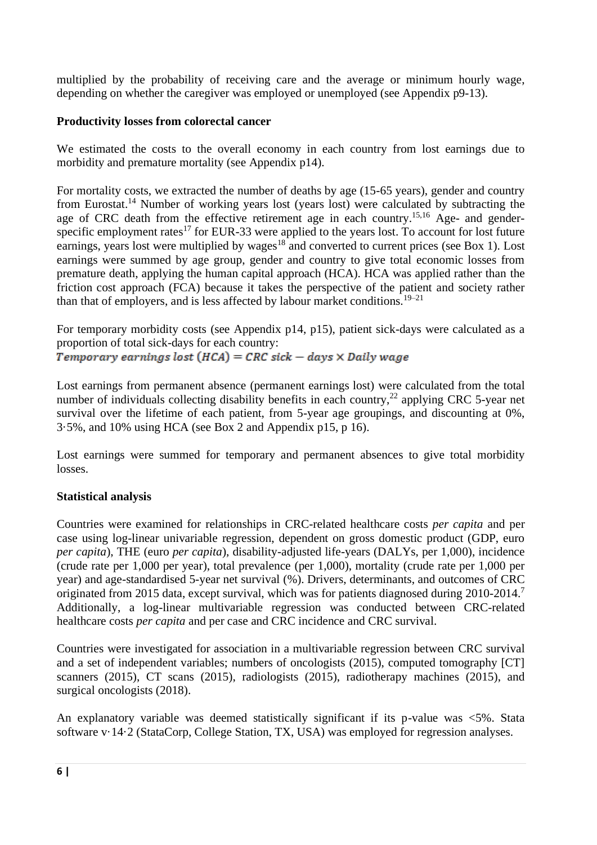multiplied by the probability of receiving care and the average or minimum hourly wage, depending on whether the caregiver was employed or unemployed (see Appendix p9-13).

## **Productivity losses from colorectal cancer**

We estimated the costs to the overall economy in each country from lost earnings due to morbidity and premature mortality (see Appendix p14).

For mortality costs, we extracted the number of deaths by age (15-65 years), gender and country from Eurostat.<sup>14</sup> Number of working years lost (years lost) were calculated by subtracting the age of CRC death from the effective retirement age in each country.<sup>15,16</sup> Age- and genderspecific employment rates<sup>17</sup> for EUR-33 were applied to the years lost. To account for lost future earnings, years lost were multiplied by wages<sup>18</sup> and converted to current prices (see Box 1). Lost earnings were summed by age group, gender and country to give total economic losses from premature death, applying the human capital approach (HCA). HCA was applied rather than the friction cost approach (FCA) because it takes the perspective of the patient and society rather than that of employers, and is less affected by labour market conditions.<sup>19–21</sup>

For temporary morbidity costs (see Appendix p14, p15), patient sick-days were calculated as a proportion of total sick-days for each country: Temporary earnings lost  $(HCA) = CRC$  sick - days  $\times$  Daily wage

Lost earnings from permanent absence (permanent earnings lost) were calculated from the total number of individuals collecting disability benefits in each country,<sup>22</sup> applying CRC 5-year net survival over the lifetime of each patient, from 5-year age groupings, and discounting at 0%, 3·5%, and 10% using HCA (see Box 2 and Appendix p15, p 16).

Lost earnings were summed for temporary and permanent absences to give total morbidity losses.

# **Statistical analysis**

Countries were examined for relationships in CRC-related healthcare costs *per capita* and per case using log-linear univariable regression, dependent on gross domestic product (GDP, euro *per capita*), THE (euro *per capita*), disability-adjusted life-years (DALYs, per 1,000), incidence (crude rate per 1,000 per year), total prevalence (per 1,000), mortality (crude rate per 1,000 per year) and age-standardised 5-year net survival (%). Drivers, determinants, and outcomes of CRC originated from 2015 data, except survival, which was for patients diagnosed during 2010-2014.<sup>7</sup> Additionally, a log-linear multivariable regression was conducted between CRC-related healthcare costs *per capita* and per case and CRC incidence and CRC survival.

Countries were investigated for association in a multivariable regression between CRC survival and a set of independent variables; numbers of oncologists (2015), computed tomography [CT] scanners (2015), CT scans (2015), radiologists (2015), radiotherapy machines (2015), and surgical oncologists (2018).

An explanatory variable was deemed statistically significant if its p-value was <5%. Stata software v·14·2 (StataCorp, College Station, TX, USA) was employed for regression analyses.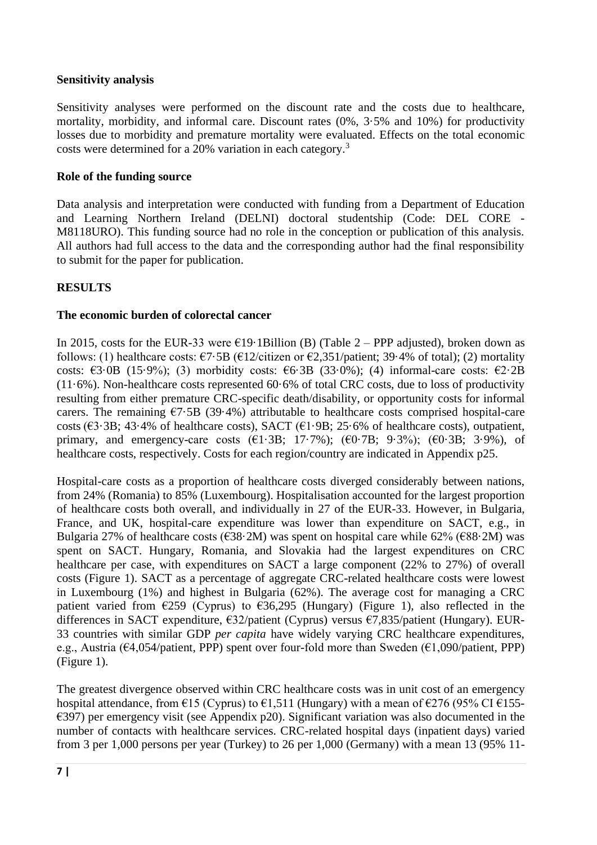#### **Sensitivity analysis**

Sensitivity analyses were performed on the discount rate and the costs due to healthcare, mortality, morbidity, and informal care. Discount rates (0%, 3·5% and 10%) for productivity losses due to morbidity and premature mortality were evaluated. Effects on the total economic costs were determined for a 20% variation in each category.<sup>3</sup>

#### **Role of the funding source**

Data analysis and interpretation were conducted with funding from a Department of Education and Learning Northern Ireland (DELNI) doctoral studentship (Code: DEL CORE - M8118URO). This funding source had no role in the conception or publication of this analysis. All authors had full access to the data and the corresponding author had the final responsibility to submit for the paper for publication.

## **RESULTS**

## **The economic burden of colorectal cancer**

In 2015, costs for the EUR-33 were  $E19 \cdot 1 \cdot 1 \cdot 1 \cdot 1 \cdot 1 \cdot 2 = PPP$  adjusted), broken down as follows: (1) healthcare costs:  $\epsilon$ 7·5B ( $\epsilon$ 12/citizen or  $\epsilon$ 2,351/patient; 39·4% of total); (2) mortality costs:  $\epsilon$ 3·0B (15·9%); (3) morbidity costs:  $\epsilon$ 6·3B (33·0%); (4) informal-care costs:  $\epsilon$ 2·2B (11·6%). Non-healthcare costs represented 60·6% of total CRC costs, due to loss of productivity resulting from either premature CRC-specific death/disability, or opportunity costs for informal carers. The remaining  $\epsilon$ 7.5B (39.4%) attributable to healthcare costs comprised hospital-care costs ( $\epsilon$ 3·3B; 43·4% of healthcare costs), SACT ( $\epsilon$ 1·9B; 25·6% of healthcare costs), outpatient, primary, and emergency-care costs  $(\text{\textsterling}1.3B; 17.7\%)$ ;  $(\text{\textsterling}0.7B; 9.3\%)$ ;  $(\text{\textsterling}0.3B; 3.9\%)$ , of healthcare costs, respectively. Costs for each region/country are indicated in Appendix p25.

Hospital-care costs as a proportion of healthcare costs diverged considerably between nations, from 24% (Romania) to 85% (Luxembourg). Hospitalisation accounted for the largest proportion of healthcare costs both overall, and individually in 27 of the EUR-33. However, in Bulgaria, France, and UK, hospital-care expenditure was lower than expenditure on SACT, e.g., in Bulgaria 27% of healthcare costs ( $\epsilon$ 38·2M) was spent on hospital care while 62% ( $\epsilon$ 88·2M) was spent on SACT. Hungary, Romania, and Slovakia had the largest expenditures on CRC healthcare per case, with expenditures on SACT a large component (22% to 27%) of overall costs (Figure 1). SACT as a percentage of aggregate CRC-related healthcare costs were lowest in Luxembourg (1%) and highest in Bulgaria (62%). The average cost for managing a CRC patient varied from  $\epsilon$ 259 (Cyprus) to  $\epsilon$ 36,295 (Hungary) (Figure 1), also reflected in the differences in SACT expenditure, €32/patient (Cyprus) versus €7,835/patient (Hungary). EUR-33 countries with similar GDP *per capita* have widely varying CRC healthcare expenditures, e.g., Austria ( $\epsilon$ 4,054/patient, PPP) spent over four-fold more than Sweden ( $\epsilon$ 1,090/patient, PPP) (Figure 1).

The greatest divergence observed within CRC healthcare costs was in unit cost of an emergency hospital attendance, from  $\epsilon$ 15 (Cyprus) to  $\epsilon$ 1,511 (Hungary) with a mean of  $\epsilon$ 276 (95% CI  $\epsilon$ 155- $\epsilon$ 397) per emergency visit (see Appendix p20). Significant variation was also documented in the number of contacts with healthcare services. CRC-related hospital days (inpatient days) varied from 3 per 1,000 persons per year (Turkey) to 26 per 1,000 (Germany) with a mean 13 (95% 11-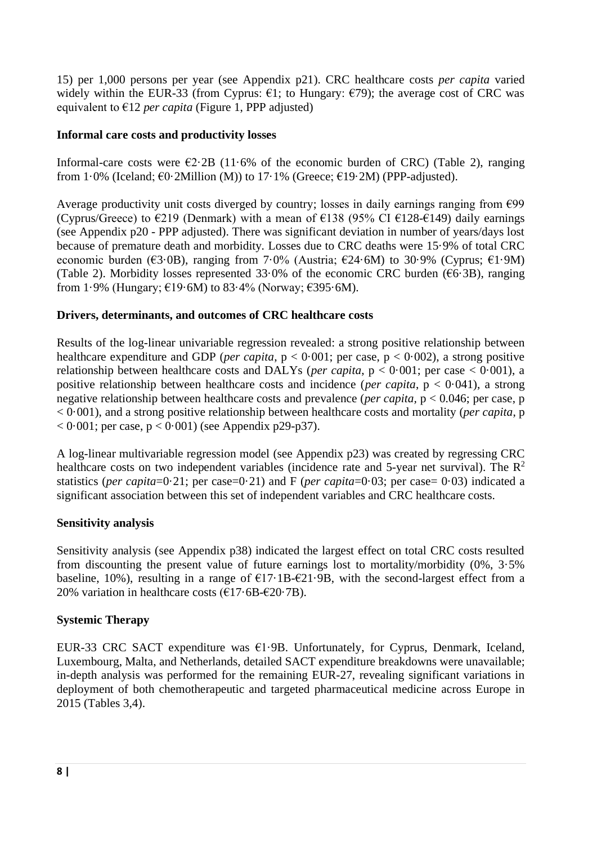15) per 1,000 persons per year (see Appendix p21). CRC healthcare costs *per capita* varied widely within the EUR-33 (from Cyprus:  $\epsilon$ 1; to Hungary:  $\epsilon$ 79); the average cost of CRC was equivalent to  $\epsilon$ 12 *per capita* (Figure 1, PPP adjusted)

## **Informal care costs and productivity losses**

Informal-care costs were  $\epsilon$ 2.2B (11.6% of the economic burden of CRC) (Table 2), ranging from 1·0% (Iceland;  $\epsilon$ 0·2Million (M)) to 17·1% (Greece;  $\epsilon$ 19·2M) (PPP-adjusted).

Average productivity unit costs diverged by country; losses in daily earnings ranging from  $\epsilon$ 99 (Cyprus/Greece) to  $\epsilon$ 219 (Denmark) with a mean of  $\epsilon$ 138 (95% CI  $\epsilon$ 128- $\epsilon$ 149) daily earnings (see Appendix p20 - PPP adjusted). There was significant deviation in number of years/days lost because of premature death and morbidity. Losses due to CRC deaths were 15·9% of total CRC economic burden ( $\epsilon$ 3·0B), ranging from 7·0% (Austria;  $\epsilon$ 24·6M) to 30·9% (Cyprus;  $\epsilon$ 1·9M) (Table 2). Morbidity losses represented 33.0% of the economic CRC burden ( $66.3B$ ), ranging from 1·9% (Hungary; €19·6M) to 83·4% (Norway; €395·6M).

#### **Drivers, determinants, and outcomes of CRC healthcare costs**

Results of the log-linear univariable regression revealed: a strong positive relationship between healthcare expenditure and GDP (*per capita*,  $p < 0.001$ ; per case,  $p < 0.002$ ), a strong positive relationship between healthcare costs and DALYs (*per capita*,  $p < 0.001$ ; per case  $< 0.001$ ), a positive relationship between healthcare costs and incidence (*per capita*, p < 0·041), a strong negative relationship between healthcare costs and prevalence (*per capita,* p < 0.046; per case, p < 0·001), and a strong positive relationship between healthcare costs and mortality (*per capita*, p  $< 0.001$ ; per case,  $p < 0.001$ ) (see Appendix p29-p37).

A log-linear multivariable regression model (see Appendix p23) was created by regressing CRC healthcare costs on two independent variables (incidence rate and 5-year net survival). The  $\mathbb{R}^2$ statistics (*per capita*=0·21; per case=0·21) and F (*per capita*=0·03; per case= 0·03) indicated a significant association between this set of independent variables and CRC healthcare costs.

## **Sensitivity analysis**

Sensitivity analysis (see Appendix p38) indicated the largest effect on total CRC costs resulted from discounting the present value of future earnings lost to mortality/morbidity (0%, 3·5% baseline, 10%), resulting in a range of  $E17·1B-E21·9B$ , with the second-largest effect from a 20% variation in healthcare costs  $(\text{\textsterling}17.6B\text{-}\text{\textsterling}20.7B)$ .

## **Systemic Therapy**

EUR-33 CRC SACT expenditure was  $E1.9B$ . Unfortunately, for Cyprus, Denmark, Iceland, Luxembourg, Malta, and Netherlands, detailed SACT expenditure breakdowns were unavailable; in-depth analysis was performed for the remaining EUR-27, revealing significant variations in deployment of both chemotherapeutic and targeted pharmaceutical medicine across Europe in 2015 (Tables 3,4).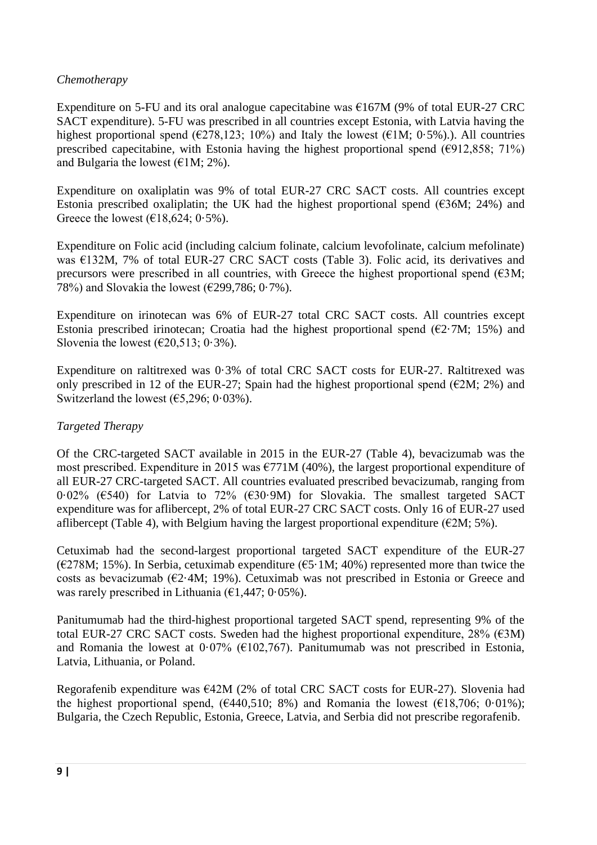## *Chemotherapy*

Expenditure on 5-FU and its oral analogue capecitabine was  $\epsilon$ 167M (9% of total EUR-27 CRC) SACT expenditure). 5-FU was prescribed in all countries except Estonia, with Latvia having the highest proportional spend ( $\epsilon$ 278,123; 10%) and Italy the lowest ( $\epsilon$ 1M; 0·5%).). All countries prescribed capecitabine, with Estonia having the highest proportional spend ( $\epsilon$ 912,858; 71%) and Bulgaria the lowest ( $\epsilon$ 1M; 2%).

Expenditure on oxaliplatin was 9% of total EUR-27 CRC SACT costs. All countries except Estonia prescribed oxaliplatin; the UK had the highest proportional spend ( $\epsilon$ 36M; 24%) and Greece the lowest  $(618, 624; 0.5\%)$ .

Expenditure on Folic acid (including calcium folinate, calcium levofolinate, calcium mefolinate) was €132M, 7% of total EUR-27 CRC SACT costs (Table 3). Folic acid, its derivatives and precursors were prescribed in all countries, with Greece the highest proportional spend  $(€3M; )$ 78%) and Slovakia the lowest ( $\epsilon$ 299,786; 0.7%).

Expenditure on irinotecan was 6% of EUR-27 total CRC SACT costs. All countries except Estonia prescribed irinotecan; Croatia had the highest proportional spend  $(E2 \cdot 7M; 15\%)$  and Slovenia the lowest  $(\text{\textsterling}20,513; 0.3\text{\textdegree}).$ 

Expenditure on raltitrexed was 0·3% of total CRC SACT costs for EUR-27. Raltitrexed was only prescribed in 12 of the EUR-27; Spain had the highest proportional spend ( $\epsilon$ 2M; 2%) and Switzerland the lowest  $(65,296; 0.03\%)$ .

## *Targeted Therapy*

Of the CRC-targeted SACT available in 2015 in the EUR-27 (Table 4), bevacizumab was the most prescribed. Expenditure in 2015 was  $\epsilon$ 771M (40%), the largest proportional expenditure of all EUR-27 CRC-targeted SACT. All countries evaluated prescribed bevacizumab, ranging from 0·02% (€540) for Latvia to 72% (€30·9M) for Slovakia. The smallest targeted SACT expenditure was for aflibercept, 2% of total EUR-27 CRC SACT costs. Only 16 of EUR-27 used aflibercept (Table 4), with Belgium having the largest proportional expenditure ( $\epsilon$ 2M; 5%).

Cetuximab had the second-largest proportional targeted SACT expenditure of the EUR-27 ( $\epsilon$ 278M; 15%). In Serbia, cetuximab expenditure ( $\epsilon$ 5·1M; 40%) represented more than twice the costs as bevacizumab ( $\epsilon$ 2·4M; 19%). Cetuximab was not prescribed in Estonia or Greece and was rarely prescribed in Lithuania  $(61, 447, 0.05\%)$ .

Panitumumab had the third-highest proportional targeted SACT spend, representing 9% of the total EUR-27 CRC SACT costs. Sweden had the highest proportional expenditure, 28% ( $\epsilon$ 3M) and Romania the lowest at  $0.07\%$  ( $\epsilon$ 102,767). Panitumumab was not prescribed in Estonia, Latvia, Lithuania, or Poland.

Regorafenib expenditure was  $E42M$  (2% of total CRC SACT costs for EUR-27). Slovenia had the highest proportional spend,  $(6440,510; 8\%)$  and Romania the lowest  $(618,706; 0.01\%)$ ; Bulgaria, the Czech Republic, Estonia, Greece, Latvia, and Serbia did not prescribe regorafenib.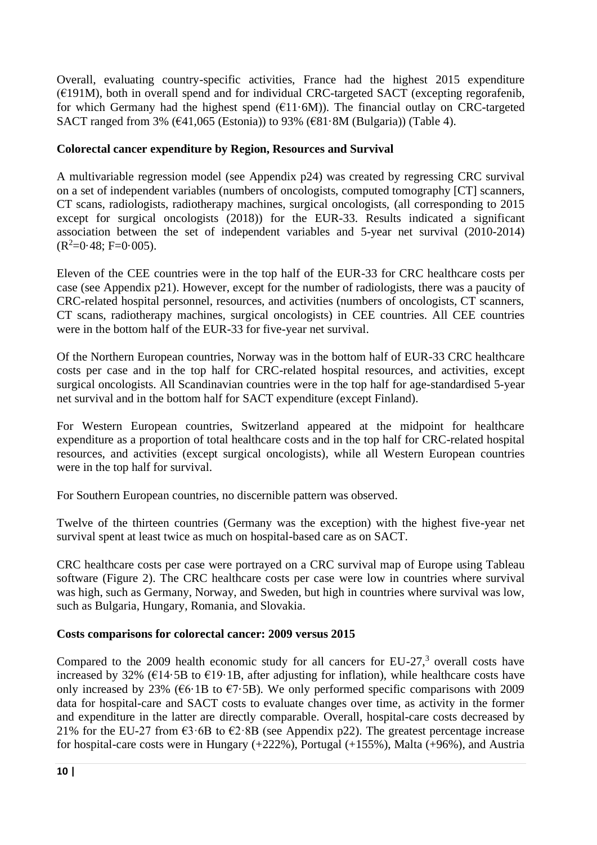Overall, evaluating country-specific activities, France had the highest 2015 expenditure  $(E191M)$ , both in overall spend and for individual CRC-targeted SACT (excepting regorafenib, for which Germany had the highest spend  $(611.6M)$ ). The financial outlay on CRC-targeted SACT ranged from 3% (€41,065 (Estonia)) to 93% (€81.8M (Bulgaria)) (Table 4).

# **Colorectal cancer expenditure by Region, Resources and Survival**

A multivariable regression model (see Appendix p24) was created by regressing CRC survival on a set of independent variables (numbers of oncologists, computed tomography [CT] scanners, CT scans, radiologists, radiotherapy machines, surgical oncologists, (all corresponding to 2015 except for surgical oncologists (2018)) for the EUR-33. Results indicated a significant association between the set of independent variables and 5-year net survival (2010-2014)  $(R<sup>2</sup>=0.48; F=0.005).$ 

Eleven of the CEE countries were in the top half of the EUR-33 for CRC healthcare costs per case (see Appendix p21). However, except for the number of radiologists, there was a paucity of CRC-related hospital personnel, resources, and activities (numbers of oncologists, CT scanners, CT scans, radiotherapy machines, surgical oncologists) in CEE countries. All CEE countries were in the bottom half of the EUR-33 for five-year net survival.

Of the Northern European countries, Norway was in the bottom half of EUR-33 CRC healthcare costs per case and in the top half for CRC-related hospital resources, and activities, except surgical oncologists. All Scandinavian countries were in the top half for age-standardised 5-year net survival and in the bottom half for SACT expenditure (except Finland).

For Western European countries, Switzerland appeared at the midpoint for healthcare expenditure as a proportion of total healthcare costs and in the top half for CRC-related hospital resources, and activities (except surgical oncologists), while all Western European countries were in the top half for survival.

For Southern European countries, no discernible pattern was observed.

Twelve of the thirteen countries (Germany was the exception) with the highest five-year net survival spent at least twice as much on hospital-based care as on SACT.

CRC healthcare costs per case were portrayed on a CRC survival map of Europe using Tableau software (Figure 2). The CRC healthcare costs per case were low in countries where survival was high, such as Germany, Norway, and Sweden, but high in countries where survival was low, such as Bulgaria, Hungary, Romania, and Slovakia.

## **Costs comparisons for colorectal cancer: 2009 versus 2015**

Compared to the 2009 health economic study for all cancers for EU-27, $3$  overall costs have increased by 32% ( $\epsilon$ 14·5B to  $\epsilon$ 19·1B, after adjusting for inflation), while healthcare costs have only increased by 23% ( $66·1B$  to  $67·5B$ ). We only performed specific comparisons with 2009 data for hospital-care and SACT costs to evaluate changes over time, as activity in the former and expenditure in the latter are directly comparable. Overall, hospital-care costs decreased by 21% for the EU-27 from  $\epsilon$ 3·6B to  $\epsilon$ 2·8B (see Appendix p22). The greatest percentage increase for hospital-care costs were in Hungary (+222%), Portugal (+155%), Malta (+96%), and Austria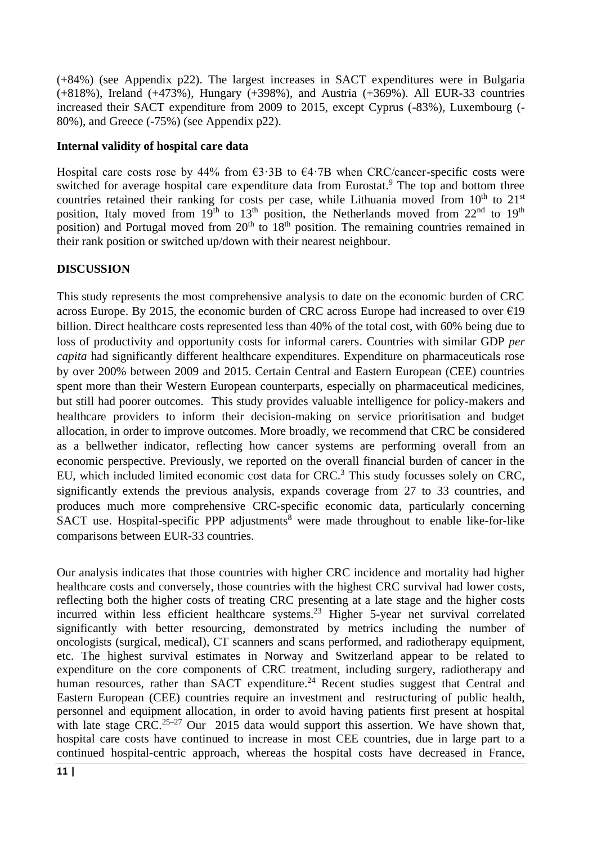(+84%) (see Appendix p22). The largest increases in SACT expenditures were in Bulgaria (+818%), Ireland (+473%), Hungary (+398%), and Austria (+369%). All EUR-33 countries increased their SACT expenditure from 2009 to 2015, except Cyprus (-83%), Luxembourg (- 80%), and Greece (-75%) (see Appendix p22).

#### **Internal validity of hospital care data**

Hospital care costs rose by 44% from  $\epsilon$ 3·3B to  $\epsilon$ 4·7B when CRC/cancer-specific costs were switched for average hospital care expenditure data from Eurostat.<sup>9</sup> The top and bottom three countries retained their ranking for costs per case, while Lithuania moved from 10<sup>th</sup> to 21<sup>st</sup> position, Italy moved from  $19<sup>th</sup>$  to  $13<sup>th</sup>$  position, the Netherlands moved from  $22<sup>nd</sup>$  to  $19<sup>th</sup>$ position) and Portugal moved from  $20<sup>th</sup>$  to  $18<sup>th</sup>$  position. The remaining countries remained in their rank position or switched up/down with their nearest neighbour.

#### **DISCUSSION**

This study represents the most comprehensive analysis to date on the economic burden of CRC across Europe. By 2015, the economic burden of CRC across Europe had increased to over  $\epsilon$ 19 billion. Direct healthcare costs represented less than 40% of the total cost, with 60% being due to loss of productivity and opportunity costs for informal carers. Countries with similar GDP *per capita* had significantly different healthcare expenditures. Expenditure on pharmaceuticals rose by over 200% between 2009 and 2015. Certain Central and Eastern European (CEE) countries spent more than their Western European counterparts, especially on pharmaceutical medicines, but still had poorer outcomes. This study provides valuable intelligence for policy-makers and healthcare providers to inform their decision-making on service prioritisation and budget allocation, in order to improve outcomes. More broadly, we recommend that CRC be considered as a bellwether indicator, reflecting how cancer systems are performing overall from an economic perspective. Previously, we reported on the overall financial burden of cancer in the EU, which included limited economic cost data for CRC. <sup>3</sup> This study focusses solely on CRC, significantly extends the previous analysis, expands coverage from 27 to 33 countries, and produces much more comprehensive CRC-specific economic data, particularly concerning SACT use. Hospital-specific PPP adjustments<sup>8</sup> were made throughout to enable like-for-like comparisons between EUR-33 countries.

Our analysis indicates that those countries with higher CRC incidence and mortality had higher healthcare costs and conversely, those countries with the highest CRC survival had lower costs, reflecting both the higher costs of treating CRC presenting at a late stage and the higher costs incurred within less efficient healthcare systems. <sup>23</sup> Higher 5-year net survival correlated significantly with better resourcing, demonstrated by metrics including the number of oncologists (surgical, medical), CT scanners and scans performed, and radiotherapy equipment, etc. The highest survival estimates in Norway and Switzerland appear to be related to expenditure on the core components of CRC treatment, including surgery, radiotherapy and human resources, rather than SACT expenditure.<sup>24</sup> Recent studies suggest that Central and Eastern European (CEE) countries require an investment and restructuring of public health, personnel and equipment allocation, in order to avoid having patients first present at hospital with late stage CRC.<sup>25–27</sup> Our 2015 data would support this assertion. We have shown that, hospital care costs have continued to increase in most CEE countries, due in large part to a continued hospital-centric approach, whereas the hospital costs have decreased in France,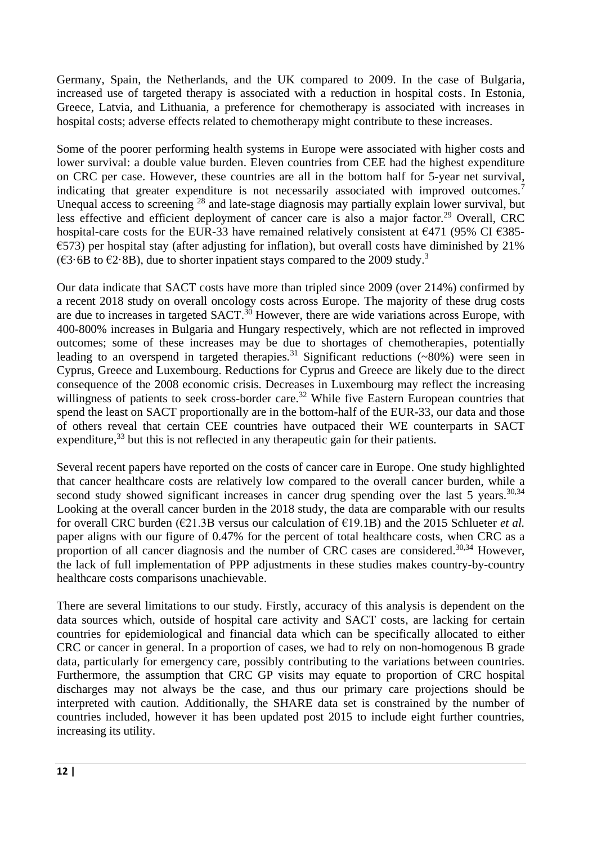Germany, Spain, the Netherlands, and the UK compared to 2009. In the case of Bulgaria, increased use of targeted therapy is associated with a reduction in hospital costs. In Estonia, Greece, Latvia, and Lithuania, a preference for chemotherapy is associated with increases in hospital costs; adverse effects related to chemotherapy might contribute to these increases.

Some of the poorer performing health systems in Europe were associated with higher costs and lower survival: a double value burden. Eleven countries from CEE had the highest expenditure on CRC per case. However, these countries are all in the bottom half for 5-year net survival, indicating that greater expenditure is not necessarily associated with improved outcomes.<sup>7</sup> Unequal access to screening <sup>28</sup> and late-stage diagnosis may partially explain lower survival, but less effective and efficient deployment of cancer care is also a major factor.<sup>29</sup> Overall, CRC hospital-care costs for the EUR-33 have remained relatively consistent at  $\epsilon$ 471 (95% CI  $\epsilon$ 385- $\epsilon$ 573) per hospital stay (after adjusting for inflation), but overall costs have diminished by 21% (€3⋅6B to €2⋅8B), due to shorter inpatient stays compared to the 2009 study.<sup>3</sup>

Our data indicate that SACT costs have more than tripled since 2009 (over 214%) confirmed by a recent 2018 study on overall oncology costs across Europe. The majority of these drug costs are due to increases in targeted SACT.<sup>30</sup> However, there are wide variations across Europe, with 400-800% increases in Bulgaria and Hungary respectively, which are not reflected in improved outcomes; some of these increases may be due to shortages of chemotherapies, potentially leading to an overspend in targeted therapies.<sup>31</sup> Significant reductions  $(\sim 80\%)$  were seen in Cyprus, Greece and Luxembourg. Reductions for Cyprus and Greece are likely due to the direct consequence of the 2008 economic crisis. Decreases in Luxembourg may reflect the increasing willingness of patients to seek cross-border care.<sup>32</sup> While five Eastern European countries that spend the least on SACT proportionally are in the bottom-half of the EUR-33, our data and those of others reveal that certain CEE countries have outpaced their WE counterparts in SACT expenditure,<sup>33</sup> but this is not reflected in any therapeutic gain for their patients.

Several recent papers have reported on the costs of cancer care in Europe. One study highlighted that cancer healthcare costs are relatively low compared to the overall cancer burden, while a second study showed significant increases in cancer drug spending over the last 5 years. $30,34$ Looking at the overall cancer burden in the 2018 study, the data are comparable with our results for overall CRC burden (€21.3B versus our calculation of €19.1B) and the 2015 Schlueter *et al.* paper aligns with our figure of 0.47% for the percent of total healthcare costs, when CRC as a proportion of all cancer diagnosis and the number of CRC cases are considered.<sup>30,34</sup> However, the lack of full implementation of PPP adjustments in these studies makes country-by-country healthcare costs comparisons unachievable.

There are several limitations to our study. Firstly, accuracy of this analysis is dependent on the data sources which, outside of hospital care activity and SACT costs, are lacking for certain countries for epidemiological and financial data which can be specifically allocated to either CRC or cancer in general. In a proportion of cases, we had to rely on non-homogenous B grade data, particularly for emergency care, possibly contributing to the variations between countries. Furthermore, the assumption that CRC GP visits may equate to proportion of CRC hospital discharges may not always be the case, and thus our primary care projections should be interpreted with caution. Additionally, the SHARE data set is constrained by the number of countries included, however it has been updated post 2015 to include eight further countries, increasing its utility.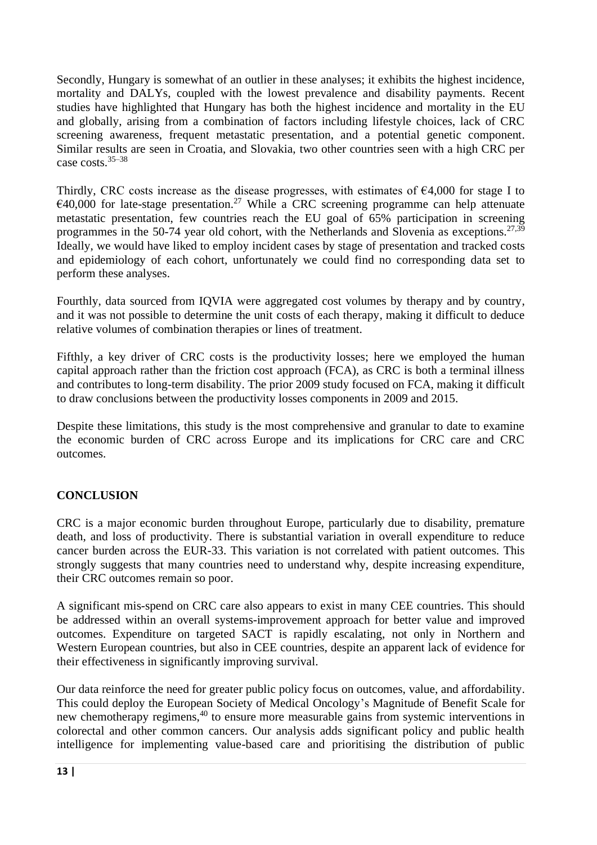Secondly, Hungary is somewhat of an outlier in these analyses; it exhibits the highest incidence, mortality and DALYs, coupled with the lowest prevalence and disability payments. Recent studies have highlighted that Hungary has both the highest incidence and mortality in the EU and globally, arising from a combination of factors including lifestyle choices, lack of CRC screening awareness, frequent metastatic presentation, and a potential genetic component. Similar results are seen in Croatia, and Slovakia, two other countries seen with a high CRC per case costs.35–38

Thirdly, CRC costs increase as the disease progresses, with estimates of  $\epsilon$ 4,000 for stage I to  $\epsilon$ 40,000 for late-stage presentation.<sup>27</sup> While a CRC screening programme can help attenuate metastatic presentation, few countries reach the EU goal of 65% participation in screening programmes in the 50-74 year old cohort, with the Netherlands and Slovenia as exceptions.<sup>27,39</sup> Ideally, we would have liked to employ incident cases by stage of presentation and tracked costs and epidemiology of each cohort, unfortunately we could find no corresponding data set to perform these analyses.

Fourthly, data sourced from IQVIA were aggregated cost volumes by therapy and by country, and it was not possible to determine the unit costs of each therapy, making it difficult to deduce relative volumes of combination therapies or lines of treatment.

Fifthly, a key driver of CRC costs is the productivity losses; here we employed the human capital approach rather than the friction cost approach (FCA), as CRC is both a terminal illness and contributes to long-term disability. The prior 2009 study focused on FCA, making it difficult to draw conclusions between the productivity losses components in 2009 and 2015.

Despite these limitations, this study is the most comprehensive and granular to date to examine the economic burden of CRC across Europe and its implications for CRC care and CRC outcomes.

# **CONCLUSION**

CRC is a major economic burden throughout Europe, particularly due to disability, premature death, and loss of productivity. There is substantial variation in overall expenditure to reduce cancer burden across the EUR-33. This variation is not correlated with patient outcomes. This strongly suggests that many countries need to understand why, despite increasing expenditure, their CRC outcomes remain so poor.

A significant mis-spend on CRC care also appears to exist in many CEE countries. This should be addressed within an overall systems-improvement approach for better value and improved outcomes. Expenditure on targeted SACT is rapidly escalating, not only in Northern and Western European countries, but also in CEE countries, despite an apparent lack of evidence for their effectiveness in significantly improving survival.

Our data reinforce the need for greater public policy focus on outcomes, value, and affordability. This could deploy the European Society of Medical Oncology's Magnitude of Benefit Scale for new chemotherapy regimens,<sup>40</sup> to ensure more measurable gains from systemic interventions in colorectal and other common cancers. Our analysis adds significant policy and public health intelligence for implementing value-based care and prioritising the distribution of public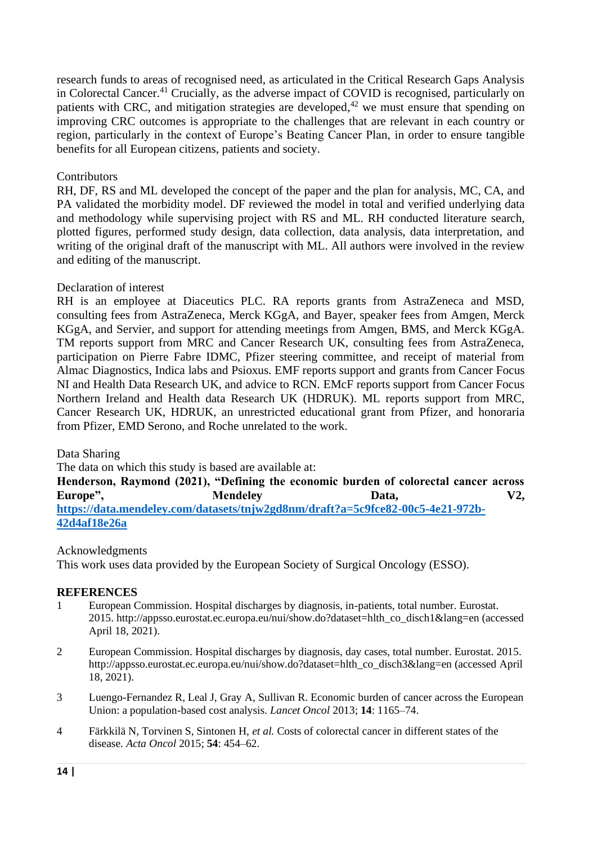research funds to areas of recognised need, as articulated in the Critical Research Gaps Analysis in Colorectal Cancer.<sup>41</sup> Crucially, as the adverse impact of COVID is recognised, particularly on patients with CRC, and mitigation strategies are developed, $42$  we must ensure that spending on improving CRC outcomes is appropriate to the challenges that are relevant in each country or region, particularly in the context of Europe's Beating Cancer Plan, in order to ensure tangible benefits for all European citizens, patients and society.

#### Contributors

RH, DF, RS and ML developed the concept of the paper and the plan for analysis, MC, CA, and PA validated the morbidity model. DF reviewed the model in total and verified underlying data and methodology while supervising project with RS and ML. RH conducted literature search, plotted figures, performed study design, data collection, data analysis, data interpretation, and writing of the original draft of the manuscript with ML. All authors were involved in the review and editing of the manuscript.

#### Declaration of interest

RH is an employee at Diaceutics PLC. RA reports grants from AstraZeneca and MSD, consulting fees from AstraZeneca, Merck KGgA, and Bayer, speaker fees from Amgen, Merck KGgA, and Servier, and support for attending meetings from Amgen, BMS, and Merck KGgA. TM reports support from MRC and Cancer Research UK, consulting fees from AstraZeneca, participation on Pierre Fabre IDMC, Pfizer steering committee, and receipt of material from Almac Diagnostics, Indica labs and Psioxus. EMF reports support and grants from Cancer Focus NI and Health Data Research UK, and advice to RCN. EMcF reports support from Cancer Focus Northern Ireland and Health data Research UK (HDRUK). ML reports support from MRC, Cancer Research UK, HDRUK, an unrestricted educational grant from Pfizer, and honoraria from Pfizer, EMD Serono, and Roche unrelated to the work.

Data Sharing

The data on which this study is based are available at:

**Henderson, Raymond (2021), "Defining the economic burden of colorectal cancer across**  Europe", Mendeley Data, V2, **[https://data.mendeley.com/datasets/tnjw2gd8nm/draft?a=5c9fce82-00c5-4e21-972b-](https://data.mendeley.com/datasets/tnjw2gd8nm/draft?a=5c9fce82-00c5-4e21-972b-42d4af18e26a)[42d4af18e26a](https://data.mendeley.com/datasets/tnjw2gd8nm/draft?a=5c9fce82-00c5-4e21-972b-42d4af18e26a)**

## Acknowledgments

This work uses data provided by the European Society of Surgical Oncology (ESSO).

#### **REFERENCES**

- 1 European Commission. Hospital discharges by diagnosis, in-patients, total number. Eurostat. 2015. http://appsso.eurostat.ec.europa.eu/nui/show.do?dataset=hlth\_co\_disch1&lang=en (accessed April 18, 2021).
- 2 European Commission. Hospital discharges by diagnosis, day cases, total number. Eurostat. 2015. http://appsso.eurostat.ec.europa.eu/nui/show.do?dataset=hlth\_co\_disch3&lang=en (accessed April 18, 2021).
- 3 Luengo-Fernandez R, Leal J, Gray A, Sullivan R. Economic burden of cancer across the European Union: a population-based cost analysis. *Lancet Oncol* 2013; **14**: 1165–74.
- 4 Färkkilä N, Torvinen S, Sintonen H, *et al.* Costs of colorectal cancer in different states of the disease. *Acta Oncol* 2015; **54**: 454–62.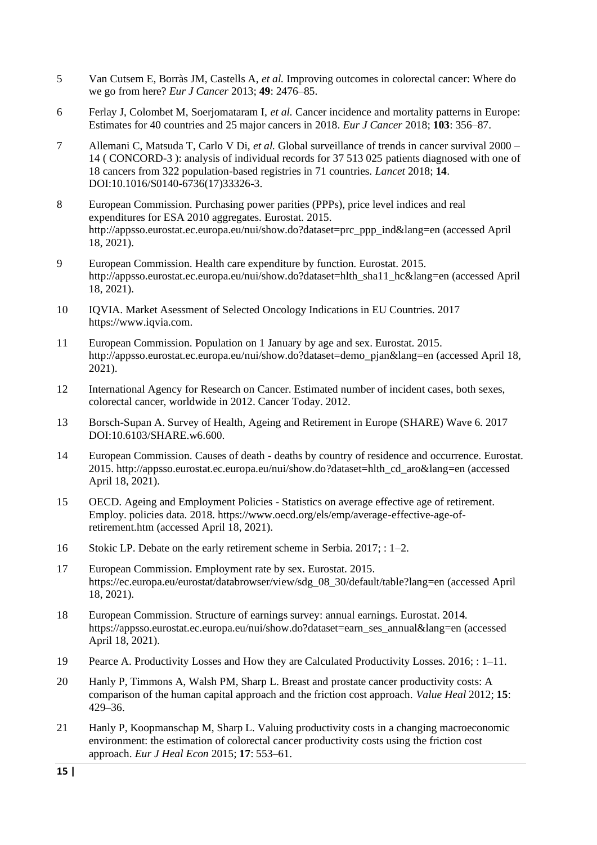- 5 Van Cutsem E, Borràs JM, Castells A, *et al.* Improving outcomes in colorectal cancer: Where do we go from here? *Eur J Cancer* 2013; **49**: 2476–85.
- 6 Ferlay J, Colombet M, Soerjomataram I, *et al.* Cancer incidence and mortality patterns in Europe: Estimates for 40 countries and 25 major cancers in 2018. *Eur J Cancer* 2018; **103**: 356–87.
- 7 Allemani C, Matsuda T, Carlo V Di, *et al.* Global surveillance of trends in cancer survival 2000 14 ( CONCORD-3 ): analysis of individual records for 37 513 025 patients diagnosed with one of 18 cancers from 322 population-based registries in 71 countries. *Lancet* 2018; **14**. DOI:10.1016/S0140-6736(17)33326-3.
- 8 European Commission. Purchasing power parities (PPPs), price level indices and real expenditures for ESA 2010 aggregates. Eurostat. 2015. http://appsso.eurostat.ec.europa.eu/nui/show.do?dataset=prc\_ppp\_ind&lang=en (accessed April 18, 2021).
- 9 European Commission. Health care expenditure by function. Eurostat. 2015. http://appsso.eurostat.ec.europa.eu/nui/show.do?dataset=hlth\_sha11\_hc&lang=en (accessed April 18, 2021).
- 10 IQVIA. Market Asessment of Selected Oncology Indications in EU Countries. 2017 https://www.iqvia.com.
- 11 European Commission. Population on 1 January by age and sex. Eurostat. 2015. http://appsso.eurostat.ec.europa.eu/nui/show.do?dataset=demo\_pjan&lang=en (accessed April 18, 2021).
- 12 International Agency for Research on Cancer. Estimated number of incident cases, both sexes, colorectal cancer, worldwide in 2012. Cancer Today. 2012.
- 13 Borsch-Supan A. Survey of Health, Ageing and Retirement in Europe (SHARE) Wave 6. 2017 DOI:10.6103/SHARE.w6.600.
- 14 European Commission. Causes of death deaths by country of residence and occurrence. Eurostat. 2015. http://appsso.eurostat.ec.europa.eu/nui/show.do?dataset=hlth\_cd\_aro&lang=en (accessed April 18, 2021).
- 15 OECD. Ageing and Employment Policies Statistics on average effective age of retirement. Employ. policies data. 2018. https://www.oecd.org/els/emp/average-effective-age-ofretirement.htm (accessed April 18, 2021).
- 16 Stokic LP. Debate on the early retirement scheme in Serbia. 2017; : 1–2.
- 17 European Commission. Employment rate by sex. Eurostat. 2015. https://ec.europa.eu/eurostat/databrowser/view/sdg\_08\_30/default/table?lang=en (accessed April 18, 2021).
- 18 European Commission. Structure of earnings survey: annual earnings. Eurostat. 2014. https://appsso.eurostat.ec.europa.eu/nui/show.do?dataset=earn\_ses\_annual&lang=en (accessed April 18, 2021).
- 19 Pearce A. Productivity Losses and How they are Calculated Productivity Losses. 2016; : 1–11.
- 20 Hanly P, Timmons A, Walsh PM, Sharp L. Breast and prostate cancer productivity costs: A comparison of the human capital approach and the friction cost approach. *Value Heal* 2012; **15**: 429–36.
- 21 Hanly P, Koopmanschap M, Sharp L. Valuing productivity costs in a changing macroeconomic environment: the estimation of colorectal cancer productivity costs using the friction cost approach. *Eur J Heal Econ* 2015; **17**: 553–61.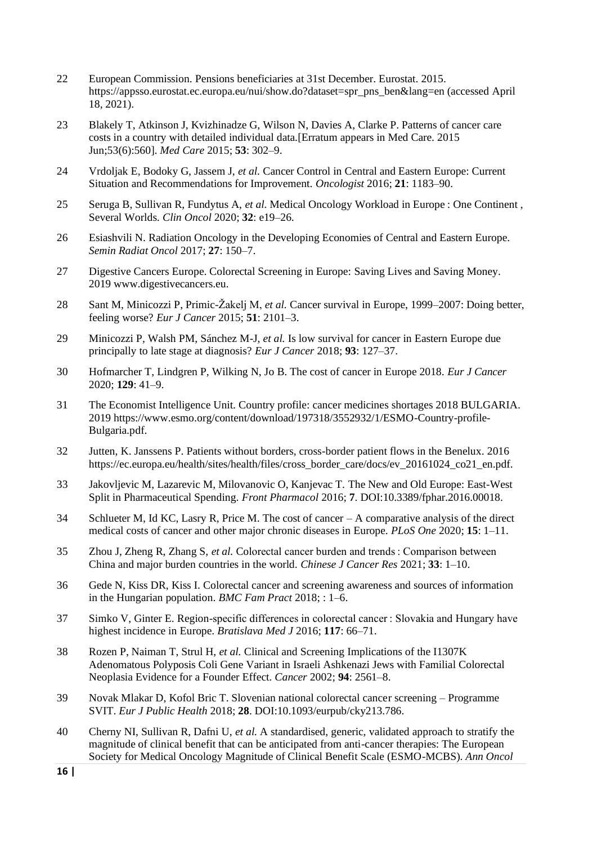- 22 European Commission. Pensions beneficiaries at 31st December. Eurostat. 2015. https://appsso.eurostat.ec.europa.eu/nui/show.do?dataset=spr\_pns\_ben&lang=en (accessed April 18, 2021).
- 23 Blakely T, Atkinson J, Kvizhinadze G, Wilson N, Davies A, Clarke P. Patterns of cancer care costs in a country with detailed individual data.[Erratum appears in Med Care. 2015 Jun;53(6):560]. *Med Care* 2015; **53**: 302–9.
- 24 Vrdoljak E, Bodoky G, Jassem J, *et al.* Cancer Control in Central and Eastern Europe: Current Situation and Recommendations for Improvement. *Oncologist* 2016; **21**: 1183–90.
- 25 Seruga B, Sullivan R, Fundytus A, *et al.* Medical Oncology Workload in Europe : One Continent , Several Worlds. *Clin Oncol* 2020; **32**: e19–26.
- 26 Esiashvili N. Radiation Oncology in the Developing Economies of Central and Eastern Europe. *Semin Radiat Oncol* 2017; **27**: 150–7.
- 27 Digestive Cancers Europe. Colorectal Screening in Europe: Saving Lives and Saving Money. 2019 www.digestivecancers.eu.
- 28 Sant M, Minicozzi P, Primic-Žakelj M, *et al.* Cancer survival in Europe, 1999–2007: Doing better, feeling worse? *Eur J Cancer* 2015; **51**: 2101–3.
- 29 Minicozzi P, Walsh PM, Sánchez M-J, *et al.* Is low survival for cancer in Eastern Europe due principally to late stage at diagnosis? *Eur J Cancer* 2018; **93**: 127–37.
- 30 Hofmarcher T, Lindgren P, Wilking N, Jo B. The cost of cancer in Europe 2018. *Eur J Cancer* 2020; **129**: 41–9.
- 31 The Economist Intelligence Unit. Country profile: cancer medicines shortages 2018 BULGARIA. 2019 https://www.esmo.org/content/download/197318/3552932/1/ESMO-Country-profile-Bulgaria.pdf.
- 32 Jutten, K. Janssens P. Patients without borders, cross-border patient flows in the Benelux. 2016 https://ec.europa.eu/health/sites/health/files/cross\_border\_care/docs/ev\_20161024\_co21\_en.pdf.
- 33 Jakovljevic M, Lazarevic M, Milovanovic O, Kanjevac T. The New and Old Europe: East-West Split in Pharmaceutical Spending. *Front Pharmacol* 2016; **7**. DOI:10.3389/fphar.2016.00018.
- 34 Schlueter M, Id KC, Lasry R, Price M. The cost of cancer A comparative analysis of the direct medical costs of cancer and other major chronic diseases in Europe. *PLoS One* 2020; **15**: 1–11.
- 35 Zhou J, Zheng R, Zhang S, *et al.* Colorectal cancer burden and trends : Comparison between China and major burden countries in the world. *Chinese J Cancer Res* 2021; **33**: 1–10.
- 36 Gede N, Kiss DR, Kiss I. Colorectal cancer and screening awareness and sources of information in the Hungarian population. *BMC Fam Pract* 2018; : 1–6.
- 37 Simko V, Ginter E. Region-specific differences in colorectal cancer : Slovakia and Hungary have highest incidence in Europe. *Bratislava Med J* 2016; **117**: 66–71.
- 38 Rozen P, Naiman T, Strul H, *et al.* Clinical and Screening Implications of the I1307K Adenomatous Polyposis Coli Gene Variant in Israeli Ashkenazi Jews with Familial Colorectal Neoplasia Evidence for a Founder Effect. *Cancer* 2002; **94**: 2561–8.
- 39 Novak Mlakar D, Kofol Bric T. Slovenian national colorectal cancer screening Programme SVIT. *Eur J Public Health* 2018; **28**. DOI:10.1093/eurpub/cky213.786.
- 40 Cherny NI, Sullivan R, Dafni U, *et al.* A standardised, generic, validated approach to stratify the magnitude of clinical benefit that can be anticipated from anti-cancer therapies: The European Society for Medical Oncology Magnitude of Clinical Benefit Scale (ESMO-MCBS). *Ann Oncol*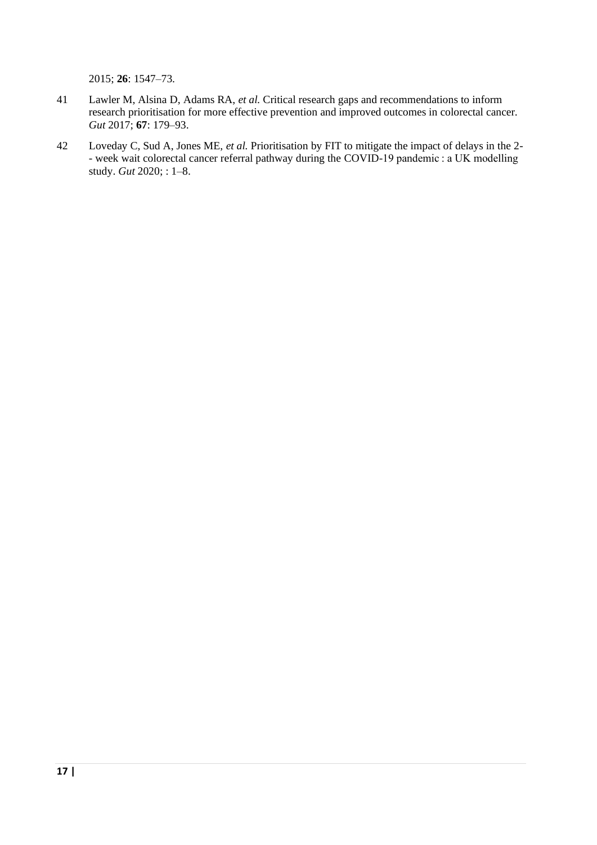2015; **26**: 1547–73.

- 41 Lawler M, Alsina D, Adams RA, *et al.* Critical research gaps and recommendations to inform research prioritisation for more effective prevention and improved outcomes in colorectal cancer. *Gut* 2017; **67**: 179–93.
- 42 Loveday C, Sud A, Jones ME, *et al.* Prioritisation by FIT to mitigate the impact of delays in the 2- - week wait colorectal cancer referral pathway during the COVID-19 pandemic : a UK modelling study. *Gut* 2020; : 1–8.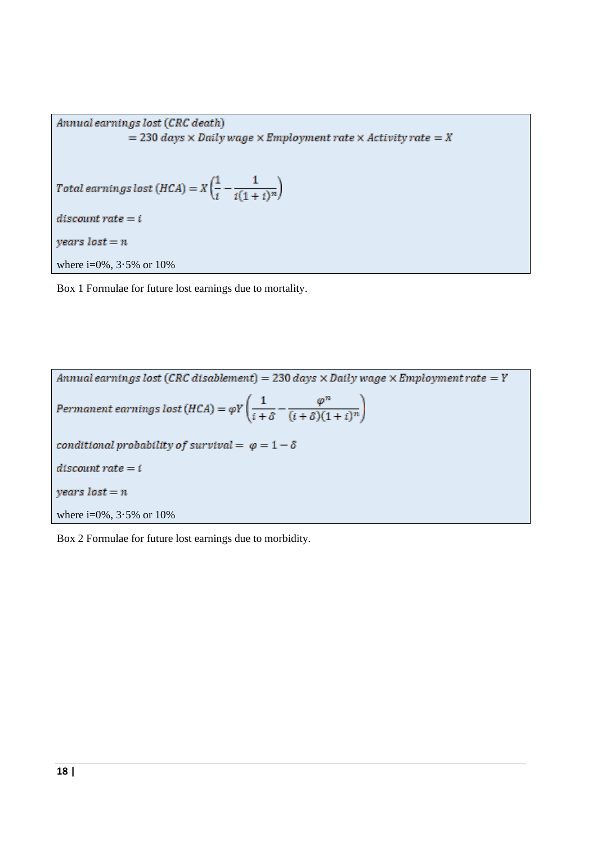Annual earnings lost (CRC death)  $=$  230 days  $\times$  Daily wage  $\times$  Employment rate  $\times$  Activity rate  $=$  X Total earnings lost (HCA) =  $X\left(\frac{1}{i} - \frac{1}{i(1+i)^n}\right)$  $discount rate = i$  $years$   $lost = n$ where i=0%, 3·5% or 10%

Box 1 Formulae for future lost earnings due to mortality.

Annual earnings lost (CRC disablement) = 230 days  $\times$  Daily wage  $\times$  Employment rate = Y  $\textit{Permanent earnings lost (HCA)} = \varphi Y \Bigg(\frac{1}{i+\delta} - \frac{\varphi^n}{(i+\delta)(1+i)^n} \Bigg)$ conditional probability of survival =  $\varphi = 1 - \delta$  $discount\ rate = i$  $years$   $lost = n$ where  $i=0\%$ ,  $3.5\%$  or  $10\%$ 

Box 2 Formulae for future lost earnings due to morbidity.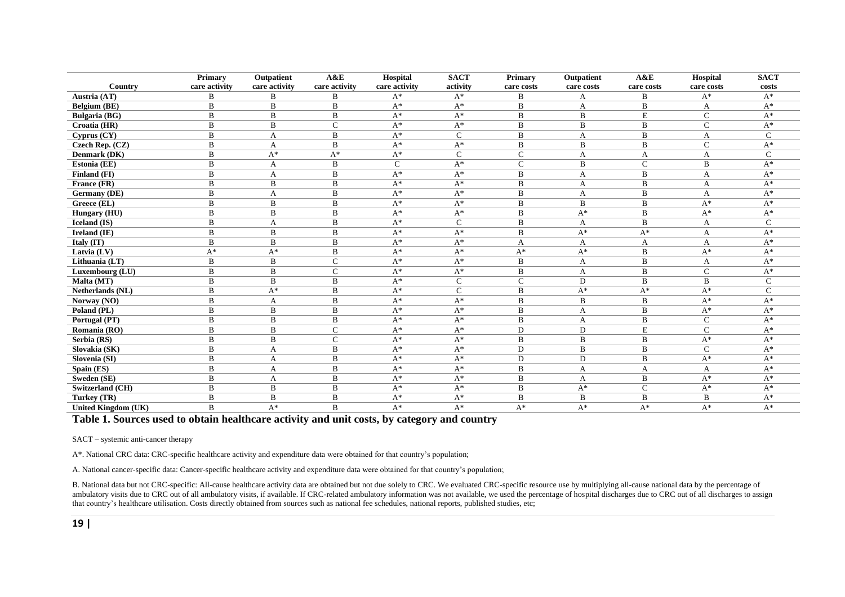|                            | <b>Primary</b> | Outpatient     | A&E            | Hospital       | <b>SACT</b>    | Primary      | Outpatient  | A&E          | Hospital       | <b>SACT</b>    |
|----------------------------|----------------|----------------|----------------|----------------|----------------|--------------|-------------|--------------|----------------|----------------|
| Country                    | care activity  | care activity  | care activity  | care activity  | activity       | care costs   | care costs  | care costs   | care costs     | costs          |
| Austria (AT)               | B              | B              | B              | $A^*$          | $A^*$          | B            | А           | B            | $A^*$          | $A^*$          |
| Belgium (BE)               | B              | B              | B              | $A^*$          | $A^*$          | B            | A           | B            | A              | $A^*$          |
| <b>Bulgaria</b> (BG)       | B              | $\, {\bf B}$   | B              | $A^*$          | $A^*$          | $\, {\bf B}$ | B           | $\mathbf E$  | $\mathsf{C}$   | $\mathbf{A}^*$ |
| Croatia (HR)               | B              | B              | $\mathsf{C}$   | $A^*$          | $A^*$          | B            | B           | B            | $\mathsf{C}$   | $A^*$          |
| Cyprus(CY)                 | B              | A              | B              | $A^*$          | $\overline{C}$ | $\, {\bf B}$ | A           | $\, {\bf B}$ | A              | $\mathsf{C}$   |
| Czech Rep. (CZ)            | B              | A              | B              | $A^*$          | $A^*$          | $\, {\bf B}$ | B           | B            | $\mathcal{C}$  | $A^*$          |
| Denmark (DK)               | B              | $A^*$          | $A^*$          | $A^*$          | $\mathbf C$    | $\mathbf C$  | A           | A            | A              | $\mathsf{C}$   |
| Estonia (EE)               | B              | A              | B              | $\mathsf{C}$   | $A^*$          | $\mathbf C$  | B           | $\mathsf{C}$ | B              | $A^*$          |
| Finland (FI)               | B              | A              | B              | $A^*$          | $A^*$          | B            | A           | B            | A              | $A^*$          |
| France (FR)                | B              | B              | B              | $A^*$          | $A^*$          | $\, {\bf B}$ | A           | B            | A              | $A^*$          |
| <b>Germany</b> (DE)        | B              | A              | B              | $A^*$          | $A^*$          | B            | A           | B            | A              | $A^*$          |
| Greece (EL)                | B              | B              | B              | $A^*$          | $A^*$          | B            | B           | B            | $A^*$          | $A^*$          |
| Hungary (HU)               | B              | B              | B              | $\mathbf{A}^*$ | $A^*$          | $\, {\bf B}$ | $A^*$       | B            | $A^*$          | $A^*$          |
| <b>Iceland</b> (IS)        | B              | A              | B              | $A^*$          | $\mathbf C$    | B            | A           | B            | A              | $\mathcal{C}$  |
| Ireland (IE)               | B              | B              | B              | $A^*$          | $A^*$          | $\, {\bf B}$ | $A^*$       | $A^*$        | A              | $A^*$          |
| Italy (IT)                 | B              | B              | B              | $A^*$          | $A^*$          | A            | A           | A            | A              | $A^*$          |
| Latvia (LV)                | $A^*$          | $A^*$          | B              | $A^*$          | $A^*$          | $A^*$        | $A^*$       | B            | $A^*$          | $A^*$          |
| Lithuania (LT)             | $\, {\bf B}$   | $\, {\bf B}$   | $\mathsf{C}$   | $\mathbf{A}^*$ | $A^*$          | $\, {\bf B}$ | A           | $\, {\bf B}$ | A              | $A^*$          |
| Luxembourg (LU)            | B              | B              | $\overline{C}$ | $A^*$          | $\mathbf{A}^*$ | $\, {\bf B}$ | A           | B            | $\mathsf{C}$   | $A^*$          |
| Malta (MT)                 | B              | $\, {\bf B}$   | B              | $A^*$          | $\mathsf{C}$   | $\mathbf C$  | $\mathbf D$ | $\, {\bf B}$ | B              | $\mathsf{C}$   |
| <b>Netherlands</b> (NL)    | $\bf{B}$       | $\mathbf{A}^*$ | B              | $A^*$          | $\mathbf C$    | $\, {\bf B}$ | $A^*$       | $A^*$        | $A^*$          | $\mathsf{C}$   |
| Norway (NO)                | B              | A              | B              | $A^*$          | $A^*$          | $\, {\bf B}$ | B           | B            | $A^*$          | $A^*$          |
| Poland (PL)                | B              | B              | B              | $A^*$          | $A^*$          | $\, {\bf B}$ | A           | B            | $A^*$          | $A^*$          |
| Portugal (PT)              | B              | $\mathbf B$    | B              | $A^*$          | $A^*$          | $\, {\bf B}$ | A           | B            | $\mathcal{C}$  | $A^*$          |
| Romania (RO)               | B              | $\mathbf B$    | $\mathbf C$    | $A^*$          | $A^*$          | ${\rm D}$    | $\mathbf D$ | $\mathbf E$  | $\mathcal{C}$  | $A^*$          |
| Serbia (RS)                | B              | B              | $\overline{C}$ | $A^*$          | $A^*$          | $\, {\bf B}$ | B           | B            | $\mathrm{A}^*$ | $A^*$          |
| Slovakia (SK)              | B              | A              | B              | $A^*$          | $A^*$          | D            | B           | B            | $\mathbf C$    | $A^*$          |
| Slovenia (SI)              | B              | A              | B              | $A^*$          | $A^*$          | D            | D           | B            | $A^*$          | $A^*$          |
| Spain (ES)                 | B              | A              | B              | $A^*$          | $A^*$          | B            | A           | A            | A              | $A^*$          |
| Sweden (SE)                | B              | A              | B              | $A^*$          | $A^*$          | $\, {\bf B}$ | A           | B            | $A^*$          | $A^*$          |
| Switzerland (CH)           | B              | B              | B              | $A^*$          | $A^*$          | B            | $A^*$       | $\mathsf{C}$ | $A^*$          | $A^*$          |
| Turkey (TR)                | B              | $\, {\bf B}$   | $\, {\bf B}$   | $A^*$          | $A^*$          | B            | B           | B            | B              | $A^*$          |
| <b>United Kingdom (UK)</b> | B              | $A^*$          | B              | $A^*$          | $A^*$          | $A^*$        | $A^*$       | $A^*$        | $A^*$          | $A^*$          |

#### **Table 1. Sources used to obtain healthcare activity and unit costs, by category and country**

#### SACT – systemic anti-cancer therapy

A\*. National CRC data: CRC-specific healthcare activity and expenditure data were obtained for that country's population;

A. National cancer-specific data: Cancer-specific healthcare activity and expenditure data were obtained for that country's population;

B. National data but not CRC-specific: All-cause healthcare activity data are obtained but not due solely to CRC. We evaluated CRC-specific resource use by multiplying all-cause national data by the percentage of ambulatory visits due to CRC out of all ambulatory visits, if available. If CRC-related ambulatory information was not available, we used the percentage of hospital discharges due to CRC out of all discharges to assign that country's healthcare utilisation. Costs directly obtained from sources such as national fee schedules, national reports, published studies, etc;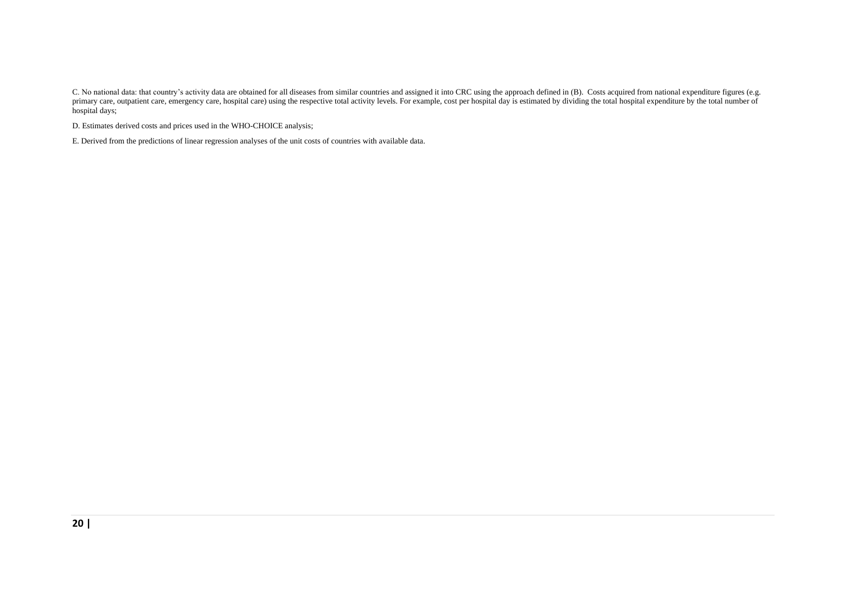C. No national data: that country's activity data are obtained for all diseases from similar countries and assigned it into CRC using the approach defined in (B). Costs acquired from national expenditure figures (e.g. primary care, outpatient care, emergency care, hospital care) using the respective total activity levels. For example, cost per hospital day is estimated by dividing the total hospital expenditure by the total number of hospital days;

D. Estimates derived costs and prices used in the WHO-CHOICE analysis;

E. Derived from the predictions of linear regression analyses of the unit costs of countries with available data.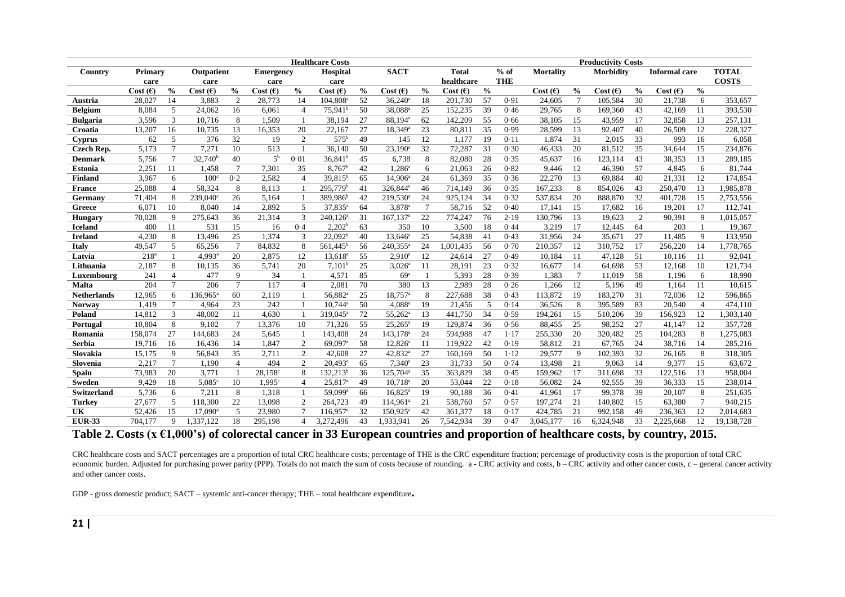|                    | <b>Healthcare Costs</b> |                 |                      |                 |                      |                |                        |               |                         |                 |              | <b>Productivity Costs</b> |            |                  |                 |                  |               |                      |                |              |
|--------------------|-------------------------|-----------------|----------------------|-----------------|----------------------|----------------|------------------------|---------------|-------------------------|-----------------|--------------|---------------------------|------------|------------------|-----------------|------------------|---------------|----------------------|----------------|--------------|
| Country            | Primary                 |                 | Outpatient           |                 | <b>Emergency</b>     |                | Hospital               |               | <b>SACT</b>             |                 | <b>Total</b> |                           | $%$ of     | <b>Mortality</b> |                 | <b>Morbidity</b> |               | <b>Informal care</b> |                | <b>TOTAL</b> |
|                    | care                    |                 | care                 |                 | care                 |                | care                   |               |                         |                 | healthcare   |                           | <b>THE</b> |                  |                 |                  |               |                      |                | <b>COSTS</b> |
|                    | Cost (E)                | $\frac{0}{0}$   | Cost (E)             | $\frac{0}{0}$   | Cost $(\epsilon)$    | $\frac{0}{0}$  | $Cost( \epsilon )$     | $\frac{0}{0}$ | Cost $(f)$              | $\frac{0}{0}$   | Cost $(E)$   | $\frac{6}{6}$             |            | Cost $(f)$       | $\frac{0}{0}$   | Cost(6)          | $\frac{0}{0}$ | Cost $(E)$           | $\frac{0}{0}$  |              |
| Austria            | 28,027                  | 14              | 3,883                | 2               | 28,773               | 14             | 104,808 <sup>a</sup>   | 52            | $36,240$ <sup>a</sup>   | 18              | 201,730      | 57                        | 0.91       | 24,605           | $7\phantom{.0}$ | 105,584          | 30            | 21,738               | 6              | 353,657      |
| <b>Belgium</b>     | 8,084                   | 5               | 24,062               | 16              | 6,061                | $\overline{4}$ | 75,941 <sup>b</sup>    | 50            | 38,088 <sup>a</sup>     | 25              | 152,235      | $\overline{39}$           | 0.46       | 29,765           | 8               | 169,360          | 43            | 42,169               | 11             | 393,530      |
| <b>Bulgaria</b>    | 3.596                   | $\overline{3}$  | 10,716               | 8               | 1.509                | $\overline{1}$ | 38,194                 | 27            | 88.194 <sup>a</sup>     | 62              | 142.209      | 55                        | 0.66       | 38.105           | 15              | 43,959           | 17            | 32,858               | 13             | 257,131      |
| Croatia            | 13,207                  | 16              | 10,735               | 13              | 16,353               | 20             | 22,167                 | 27            | 18,349 <sup>a</sup>     | 23              | 80,811       | 35                        | 0.99       | 28,599           | 13              | 92,407           | 40            | 26,509               | 12             | 228,327      |
| <b>Cyprus</b>      | 62                      | 5               | 376                  | $\overline{32}$ | 19                   | 2              | $575^{\rm b}$          | 49            | 145                     | 12              | 1,177        | 19                        | 0.11       | 1,874            | 31              | 2,015            | 33            | 993                  | 16             | 6,058        |
| <b>Czech Rep.</b>  | 5,173                   | $\overline{7}$  | 7,271                | 10              | 513                  | $\overline{1}$ | 36,140                 | 50            | $23,190^a$              | 32              | 72,287       | 31                        | 0.30       | 46,433           | 20              | 81,512           | 35            | 34,644               | 15             | 234,876      |
| <b>Denmark</b>     | 5,756                   | $\overline{7}$  | $32,740^b$           | 40              | 5 <sup>b</sup>       | 0.01           | $36,841^b$             | 45            | 6,738                   | 8               | 82,080       | 28                        | 0.35       | 45,637           | 16              | 123,114          | 43            | 38,353               | 13             | 289,185      |
| <b>Estonia</b>     | 2,251                   | 11              | 1,458                | $\overline{7}$  | 7,301                | 35             | $8,767^b$              | 42            | $1,286^a$               | 6               | 21,063       | 26                        | 0.82       | 9,446            | 12              | 46,390           | 57            | 4,845                | 6              | 81,744       |
| <b>Finland</b>     | 3,967                   | 6               | $100^{\circ}$        | 0.2             | 2,582                | $\overline{4}$ | 39,815 <sup>b</sup>    | 65            | 14,906 <sup>a</sup>     | 24              | 61,369       | 35                        | 0.36       | 22,270           | 13              | 69,884           | 40            | 21,331               | 12             | 174,854      |
| <b>France</b>      | 25,088                  | $\overline{4}$  | 58,324               | 8               | 8,113                |                | 295,779 <sup>b</sup>   | 41            | 326,844 <sup>a</sup>    | 46              | 714,149      | 36                        | 0.35       | 167,233          | 8               | 854,026          | 43            | 250,470              | 13             | 1,985,878    |
| Germany            | 71,404                  | 8               | 239,040 <sup>c</sup> | 26              | 5,164                | - 1            | 389,986 <sup>b</sup>   | 42            | 219,530 <sup>a</sup>    | 24              | 925,124      | 34                        | 0.32       | 537,834          | 20              | 888,870          | 32            | 401,728              | 15             | 2,753,556    |
| Greece             | 6,071                   | 10              | 8,040                | 14              | 2,892                | 5              | $37,835^a$             | 64            | $3,878^{\circ}$         | $7\phantom{.0}$ | 58,716       | 52                        | 0.40       | 17,141           | 15              | 17,682           | 16            | 19,201               | 17             | 112,741      |
| <b>Hungary</b>     | 70,028                  | 9               | 275,643              | 36              | 21,314               | 3              | $240,126^a$            | 31            | $167, 137$ <sup>a</sup> | 22              | 774,247      | 76                        | 2.19       | 130,796          | 13              | 19,623           | 2             | 90,391               | 9              | 1,015,057    |
| <b>Iceland</b>     | 400                     | 11              | 531                  | 15              | 16                   | 0.4            | 2,202 <sup>b</sup>     | 63            | 350                     | 10              | 3,500        | 18                        | 0.44       | 3,219            | 17              | 12,445           | 64            | 203                  |                | 19,367       |
| <b>Ireland</b>     | 4,230                   | 8               | 13,496               | 25              | 1,374                | 3              | 22.092 <sup>b</sup>    | 40            | $13,646^a$              | 25              | 54,838       | 41                        | 0.43       | 31,956           | 24              | 35,671           | 27            | 11,485               | 9              | 133,950      |
| <b>Italy</b>       | 49.547                  | 5               | 65,256               | $7\phantom{.0}$ | 84,832               | 8              | $561,445^b$            | 56            | 240,355 <sup>a</sup>    | 24              | 1,001,435    | 56                        | 0.70       | 210,357          | 12              | 310,752          | 17            | 256,220              | 14             | 1,778,765    |
| Latvia             | 218 <sup>a</sup>        |                 | $4.993$ <sup>a</sup> | 20              | 2,875                | 12             | 13.618 <sup>a</sup>    | 55            | 2.910 <sup>a</sup>      | 12              | 24.614       | 27                        | 0.49       | 10.184           | 11              | 47,128           | 51            | 10.116               | 11             | 92.041       |
| Lithuania          | 2,187                   | 8               | 10,135               | 36              | 5,741                | 20             | $7,101^b$              | 25            | $3,026^a$               | 11              | 28,191       | 23                        | 0.32       | 16,677           | 14              | 64,698           | 53            | 12,168               | 10             | 121,734      |
| Luxembourg         | 241                     | $\overline{4}$  | 477                  | 9               | 34                   | $\overline{1}$ | 4,571                  | 85            | 69 <sup>a</sup>         | $\mathbf{1}$    | 5,393        | 28                        | 0.39       | 1,383            | $7\phantom{.0}$ | 11.019           | 58            | 1,196                | 6              | 18,990       |
| <b>Malta</b>       | 204                     | $\overline{7}$  | 206                  | $\overline{7}$  | 117                  | $\overline{4}$ | 2,081                  | 70            | 380                     | 13              | 2,989        | 28                        | 0.26       | 1,266            | 12              | 5,196            | 49            | 1,164                | 11             | 10,615       |
| <b>Netherlands</b> | 12,965                  | 6               | 136,965 <sup>a</sup> | 60              | 2,119                |                | 56,882 <sup>a</sup>    | 25            | 18,757 <sup>a</sup>     | 8               | 227,688      | 38                        | 0.43       | 113,872          | 19              | 183,270          | 31            | 72,036               | 12             | 596,865      |
| <b>Norway</b>      | 1,419                   | $\overline{7}$  | 4,964                | 23              | 242                  |                | $10.744^a$             | 50            | $4,088^{\rm a}$         | 19              | 21,456       | 5                         | 0.14       | 36,526           | 8               | 395,589          | 83            | 20,540               | $\overline{4}$ | 474,110      |
| Poland             | 14,812                  | 3               | 48,002               | 11              | 4,630                |                | 319,045 <sup>a</sup>   | 72            | 55,262 <sup>a</sup>     | 13              | 441,750      | 34                        | 0.59       | 194,261          | 15              | 510,206          | 39            | 156,923              | 12             | 1,303,140    |
| Portugal           | 10,804                  | 8               | 9,102                | $\overline{7}$  | 13,376               | 10             | 71,326                 | 55            | $25,265^a$              | 19              | 129,874      | 36                        | 0.56       | 88,455           | 25              | 98,252           | 27            | 41,147               | 12             | 357,728      |
| Romania            | 158,074                 | 27              | 144,683              | 24              | 5,645                |                | 143,408                | 24            | 143,178 <sup>a</sup>    | 24              | 594,988      | 47                        | $1 - 17$   | 255,330          | 20              | 320,482          | 25            | 104,283              | 8              | 1,275,083    |
| Serbia             | 19,716                  | 16              | 16,436               | 14              | 1,847                | $\overline{2}$ | 69,097 <sup>a</sup>    | 58            | $12,826^{\circ}$        | 11              | 119,922      | 42                        | 0.19       | 58,812           | 21              | 67,765           | 24            | 38,716               | 14             | 285,216      |
| Slovakia           | 15,175                  | 9               | 56,843               | 35              | 2,711                | 2              | 42,608                 | 27            | 42,832 <sup>a</sup>     | 27              | 160,169      | 50                        | $1 - 12$   | 29,577           | 9               | 102,393          | 32            | 26,165               | 8              | 318,305      |
| Slovenia           | 2,217                   | $7\phantom{.0}$ | 1,190                | $\overline{4}$  | 494                  | $\overline{2}$ | $20,493^a$             | 65            | $7,340^a$               | 23              | 31,733       | 50                        | 0.74       | 13,498           | 21              | 9,063            | 14            | 9,377                | 15             | 63,672       |
| <b>Spain</b>       | 73,983                  | 20              | 3,771                | $\overline{1}$  | $28,158^{\circ}$     | 8              | $132,213^b$            | 36            | 125,704 <sup>a</sup>    | 35              | 363,829      | 38                        | 0.45       | 159,962          | 17              | 311,698          | 33            | 122,516              | 13             | 958,004      |
| <b>Sweden</b>      | 9,429                   | 18              | $5,085^{\circ}$      | 10              | $1,995$ <sup>c</sup> | $\overline{4}$ | $25,817$ <sup>a</sup>  | 49            | $10,718^a$              | 20              | 53,044       | 22                        | 0.18       | 56,082           | 24              | 92,555           | 39            | 36,333               | 15             | 238,014      |
| Switzerland        | 5,736                   | 6               | 7,211                | 8               | 1,318                |                | 59,099 <sup>a</sup>    | 66            | $16,825$ <sup>a</sup>   | 19              | 90,188       | 36                        | 0.41       | 41,961           | 17              | 99,378           | 39            | 20,107               | 8              | 251,635      |
| <b>Turkey</b>      | 27,677                  | 5               | 118,300              | 22              | 13,098               | $\overline{2}$ | 264,723                | 49            | 114,961                 | 21              | 538,760      | 57                        | 0.57       | 197,274          | 21              | 140,802          | 15            | 63,380               | $\tau$         | 940,215      |
| UK                 | 52,426                  | 15              | $17,090^{\circ}$     | 5               | 23,980               | $\mathcal{I}$  | $116,957$ <sup>a</sup> | 32            | $150,925$ <sup>a</sup>  | 42              | 361,377      | 18                        | 0.17       | 424,785          | 21              | 992,158          | 49            | 236,363              | 12             | 2,014,683    |
| <b>EUR-33</b>      | 704.177                 | 9               | 1.337.122            | 18              | 295.198              | 4              | 3.272.496              | 43            | 1.933.941               | 26              | 7.542.934    | 39                        | 0.47       | 3,045,177        | 16              | 6.324.948        | 33            | 2,225,668            | 12             | 19,138,728   |

**Table 2. Costs (x €1,000's) of colorectal cancer in 33 European countries and proportion of healthcare costs, by country, 2015.**

CRC healthcare costs and SACT percentages are a proportion of total CRC healthcare costs; percentage of THE is the CRC expenditure fraction; percentage of productivity costs is the proportion of total CRC economic burden. Adjusted for purchasing power parity (PPP). Totals do not match the sum of costs because of rounding. a - CRC activity and costs, b – CRC activity and other cancer costs, c – general cancer activity and other cancer costs.

GDP - gross domestic product; SACT – systemic anti-cancer therapy; THE – total healthcare expenditure**.**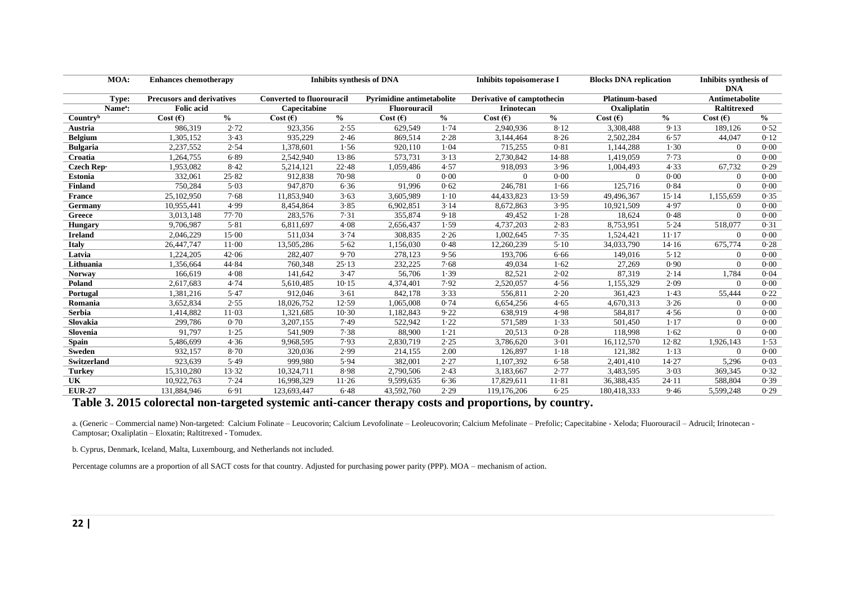| MOA:                | <b>Enhances chemotherapy</b>     |               |                                  | <b>Inhibits synthesis of DNA</b> | <b>Inhibits topoisomerase I</b>  |               | <b>Blocks DNA replication</b> |               | Inhibits synthesis of<br><b>DNA</b> |                       |                    |               |
|---------------------|----------------------------------|---------------|----------------------------------|----------------------------------|----------------------------------|---------------|-------------------------------|---------------|-------------------------------------|-----------------------|--------------------|---------------|
| Type:               | <b>Precusors and derivatives</b> |               | <b>Converted to fluorouracil</b> |                                  | <b>Pyrimidine antimetabolite</b> |               | Derivative of camptothecin    |               | <b>Platinum-based</b>               | <b>Antimetabolite</b> |                    |               |
| Name <sup>a</sup> : | <b>Folic</b> acid                |               | Capecitabine                     |                                  | <b>Fluorouracil</b>              |               | <b>Irinotecan</b>             |               | Oxaliplatin                         |                       | <b>Raltitrexed</b> |               |
| Countryb            | Cost (E)                         | $\frac{6}{6}$ | Cost $(E)$                       | $\frac{0}{0}$                    | Cost $(E)$                       | $\frac{0}{0}$ | Cost $(E)$                    | $\frac{0}{0}$ | Cost (E)                            | $\frac{0}{0}$         |                    | $\frac{0}{0}$ |
| Austria             | 986.319                          | 2.72          | 923.356                          | 2.55                             | 629.549                          | 1.74          | 2,940,936                     | 8.12          | 3.308.488                           | 9.13                  | 189.126            | 0.52          |
| <b>Belgium</b>      | 1,305,152                        | 3.43          | 935,229                          | 2.46                             | 869,514                          | 2.28          | 3,144,464                     | 8.26          | 2,502,284                           | 6.57                  | 44,047             | 0.12          |
| <b>Bulgaria</b>     | 2,237,552                        | 2.54          | 1,378,601                        | 1.56                             | 920,110                          | 1.04          | 715,255                       | 0.81          | 1,144,288                           | 1.30                  | $\Omega$           | 0.00          |
| Croatia             | 1,264,755                        | 6.89          | 2,542,940                        | 13.86                            | 573,731                          | 3.13          | 2,730,842                     | 14.88         | 1,419,059                           | 7.73                  | $\theta$           | 0.00          |
| Czech Rep-          | 1,953,082                        | 8.42          | 5,214,121                        | 22.48                            | 1,059,486                        | 4.57          | 918,093                       | 3.96          | 1,004,493                           | 4.33                  | 67.732             | 0.29          |
| <b>Estonia</b>      | 332,061                          | 25.82         | 912.838                          | 70.98                            | $\overline{0}$                   | 0.00          | $\theta$                      | 0.00          | $\overline{0}$                      | 0.00                  | $\overline{0}$     | 0.00          |
| <b>Finland</b>      | 750,284                          | 5.03          | 947,870                          | 6.36                             | 91,996                           | 0.62          | 246,781                       | 1.66          | 125,716                             | 0.84                  | $\theta$           | 0.00          |
| France              | 25,102,950                       | 7.68          | 11,853,940                       | 3.63                             | 3,605,989                        | $1 - 10$      | 44,433,823                    | 13.59         | 49,496,367                          | 15.14                 | 1,155,659          | 0.35          |
| Germany             | 10,955,441                       | 4.99          | 8,454,864                        | 3.85                             | 6,902,851                        | 3.14          | 8,672,863                     | 3.95          | 10,921,509                          | 4.97                  | $\Omega$           | 0.00          |
| Greece              | 3.013.148                        | 77.70         | 283,576                          | 7.31                             | 355,874                          | 9.18          | 49.452                        | 1.28          | 18.624                              | 0.48                  | $\Omega$           | 0.00          |
| <b>Hungary</b>      | 9,706,987                        | 5.81          | 6,811,697                        | 4.08                             | 2,656,437                        | 1.59          | 4,737,203                     | 2.83          | 8,753,951                           | 5.24                  | 518,077            | 0.31          |
| <b>Ireland</b>      | 2,046,229                        | 15.00         | 511.034                          | 3.74                             | 308,835                          | 2.26          | 1,002,645                     | 7.35          | 1,524,421                           | $11-17$               | $\theta$           | 0.00          |
| <b>Italy</b>        | 26,447,747                       | $11 \cdot 00$ | 13,505,286                       | 5.62                             | 1,156,030                        | 0.48          | 12,260,239                    | 5.10          | 34,033,790                          | 14.16                 | 675,774            | 0.28          |
| Latvia              | 1,224,205                        | 42.06         | 282,407                          | 9.70                             | 278,123                          | 9.56          | 193,706                       | 6.66          | 149,016                             | 5.12                  | $\Omega$           | 0.00          |
| Lithuania           | 1,356,664                        | 44.84         | 760,348                          | 25.13                            | 232,225                          | 7.68          | 49.034                        | 1.62          | 27,269                              | 0.90                  | $\Omega$           | 0.00          |
| <b>Norway</b>       | 166,619                          | 4.08          | 141,642                          | 3.47                             | 56,706                           | 1.39          | 82.521                        | 2.02          | 87,319                              | 2.14                  | 1,784              | 0.04          |
| Poland              | 2,617,683                        | 4.74          | 5,610,485                        | 10.15                            | 4,374,401                        | 7.92          | 2,520,057                     | 4.56          | 1,155,329                           | 2.09                  | $\theta$           | 0.00          |
| <b>Portugal</b>     | 1,381,216                        | 5.47          | 912,046                          | 3.61                             | 842,178                          | 3.33          | 556,811                       | 2.20          | 361.423                             | 1.43                  | 55,444             | 0.22          |
| Romania             | 3,652,834                        | 2.55          | 18,026,752                       | 12.59                            | 1,065,008                        | 0.74          | 6,654,256                     | 4.65          | 4,670,313                           | 3.26                  | $\Omega$           | 0.00          |
| Serbia              | 1,414,882                        | $11-03$       | 1,321,685                        | 10.30                            | 1,182,843                        | 9.22          | 638,919                       | 4.98          | 584,817                             | 4.56                  | $\theta$           | 0.00          |
| Slovakia            | 299,786                          | 0.70          | 3,207,155                        | 7.49                             | 522,942                          | 1.22          | 571.589                       | 1.33          | 501.450                             | $1 - 17$              | $\overline{0}$     | 0.00          |
| Slovenia            | 91.797                           | 1.25          | 541.909                          | 7.38                             | 88,900                           | $1-21$        | 20,513                        | 0.28          | 118.998                             | 1.62                  | $\Omega$           | 0.00          |
| <b>Spain</b>        | 5,486,699                        | 4.36          | 9,968,595                        | 7.93                             | 2,830,719                        | 2.25          | 3,786,620                     | 3.01          | 16,112,570                          | 12.82                 | 1,926,143          | 1.53          |
| <b>Sweden</b>       | 932,157                          | 8.70          | 320,036                          | 2.99                             | 214,155                          | 2.00          | 126,897                       | $1 - 18$      | 121,382                             | 1.13                  | $\Omega$           | 0.00          |
| <b>Switzerland</b>  | 923,639                          | 5.49          | 999,980                          | 5.94                             | 382,001                          | 2.27          | 1,107,392                     | 6.58          | 2,401,410                           | 14.27                 | 5,296              | 0.03          |
| <b>Turkey</b>       | 15.310.280                       | 13.32         | 10,324,711                       | 8.98                             | 2,790,506                        | 2.43          | 3.183.667                     | 2.77          | 3,483,595                           | 3.03                  | 369,345            | 0.32          |
| UK                  | 10,922,763                       | 7.24          | 16,998,329                       | 11.26                            | 9,599,635                        | 6.36          | 17,829,611                    | 11.81         | 36,388,435                          | 24.11                 | 588,804            | 0.39          |
| <b>EUR-27</b>       | 131,884,946                      | 6.91          | 123,693,447                      | 6.48                             | 43.592.760                       | 2.29          | 119,176,206                   | 6.25          | 180.418.333                         | 9.46                  | 5.599.248          | 0.29          |

#### **Table 3. 2015 colorectal non-targeted systemic anti-cancer therapy costs and proportions, by country.**

a. (Generic – Commercial name) Non-targeted: Calcium Folinate – Leucovorin; Calcium Levofolinate – Leoleucovorin; Calcium Mefolinate – Prefolic; Capecitabine - Xeloda; Fluorouracil – Adrucil; Irinotecan - Camptosar; Oxaliplatin – Eloxatin; Raltitrexed - Tomudex.

b. Cyprus, Denmark, Iceland, Malta, Luxembourg, and Netherlands not included.

Percentage columns are a proportion of all SACT costs for that country. Adjusted for purchasing power parity (PPP). MOA – mechanism of action.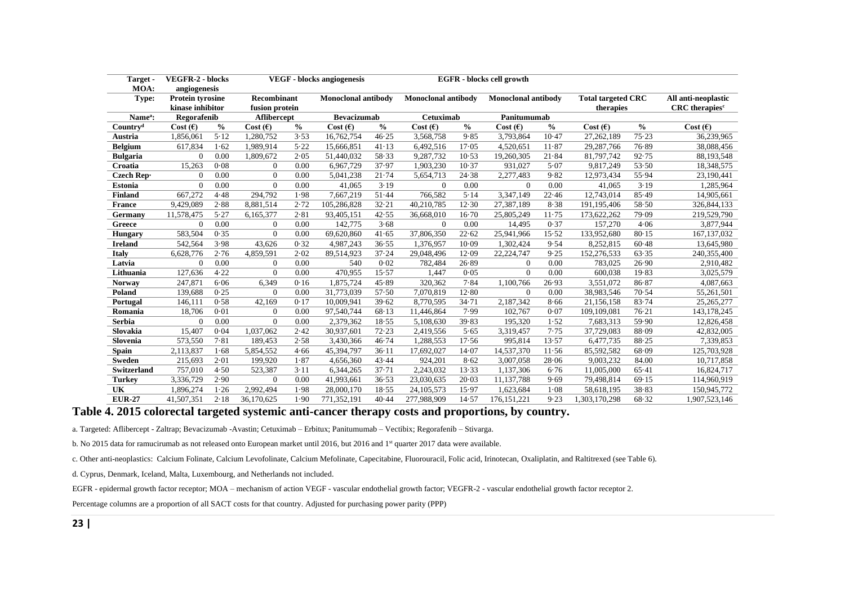| Target -<br>MOA:     | <b>VEGFR-2 - blocks</b><br>angiogenesis                                      |               |                            |               | <b>VEGF</b> - blocks angiogenesis |               |                            |               | <b>EGFR</b> - blocks cell growth       |               |                                                          |               |                   |
|----------------------|------------------------------------------------------------------------------|---------------|----------------------------|---------------|-----------------------------------|---------------|----------------------------|---------------|----------------------------------------|---------------|----------------------------------------------------------|---------------|-------------------|
| Type:                | Recombinant<br><b>Protein tyrosine</b><br>kinase inhibitor<br>fusion protein |               | <b>Monoclonal antibody</b> |               | <b>Monoclonal antibody</b>        |               | <b>Monoclonal antibody</b> |               | <b>Total targeted CRC</b><br>therapies |               | All anti-neoplastic<br><b>CRC</b> therapies <sup>c</sup> |               |                   |
| Name <sup>a</sup> :  | Regorafenib                                                                  |               | Aflibercept                |               | <b>Bevacizumab</b>                |               | <b>Cetuximab</b>           |               | Panitumumab                            |               |                                                          |               |                   |
| Country <sup>d</sup> | Cost(6)                                                                      | $\frac{6}{9}$ | Cost (E)                   | $\frac{6}{6}$ | Cost (E)                          | $\frac{0}{0}$ | Cost $(E)$                 | $\frac{0}{0}$ | Cost (E)                               | $\frac{0}{0}$ | Cost $(E)$                                               | $\frac{0}{0}$ | Cost $(\epsilon)$ |
| <b>Austria</b>       | 1,856,061                                                                    | 5.12          | 1,280,752                  | 3.53          | 16,762,754                        | 46.25         | 3,568,758                  | 9.85          | 3.793.864                              | 10.47         | 27,262,189                                               | 75.23         | 36,239,965        |
| <b>Belgium</b>       | 617,834                                                                      | 1.62          | 1,989,914                  | 5.22          | 15,666,851                        | 41.13         | 6,492,516                  | 17.05         | 4,520,651                              | 11.87         | 29,287,766                                               | 76.89         | 38,088,456        |
| <b>Bulgaria</b>      | $\mathbf{0}$                                                                 | 0.00          | 1,809,672                  | 2.05          | 51,440,032                        | 58.33         | 9,287,732                  | 10.53         | 19,260,305                             | 21.84         | 81,797,742                                               | 92.75         | 88,193,548        |
| Croatia              | 15,263                                                                       | 0.08          | $\theta$                   | 0.00          | 6,967,729                         | 37.97         | 1,903,230                  | 10.37         | 931,027                                | 5.07          | 9,817,249                                                | 53.50         | 18,348,575        |
| Czech Rep-           | $\Omega$                                                                     | 0.00          | $\overline{0}$             | 0.00          | 5,041,238                         | 21.74         | 5,654,713                  | 24.38         | 2,277,483                              | 9.82          | 12,973,434                                               | 55.94         | 23,190,441        |
| <b>Estonia</b>       | $\Omega$                                                                     | 0.00          | $\Omega$                   | 0.00          | 41,065                            | 3.19          | $\Omega$                   | 0.00          | $\Omega$                               | 0.00          | 41,065                                                   | 3.19          | 1,285,964         |
| <b>Finland</b>       | 667,272                                                                      | 4.48          | 294,792                    | 1.98          | 7,667,219                         | 51.44         | 766,582                    | 5.14          | 3,347,149                              | 22.46         | 12,743,014                                               | 85.49         | 14,905,661        |
| <b>France</b>        | 9,429,089                                                                    | 2.88          | 8,881,514                  | 2.72          | 105,286,828                       | 32.21         | 40,210,785                 | 12.30         | 27,387,189                             | 8.38          | 191,195,406                                              | 58.50         | 326,844,133       |
| Germany              | 11,578,475                                                                   | 5.27          | 6,165,377                  | 2.81          | 93,405,151                        | 42.55         | 36,668,010                 | $16-70$       | 25,805,249                             | 11.75         | 173,622,262                                              | 79.09         | 219,529,790       |
| Greece               | $\Omega$                                                                     | 0.00          | $\theta$                   | 0.00          | 142,775                           | 3.68          | $\mathbf{0}$               | 0.00          | 14,495                                 | 0.37          | 157,270                                                  | 4.06          | 3,877,944         |
| <b>Hungary</b>       | 583,504                                                                      | 0.35          | $\Omega$                   | 0.00          | 69.620.860                        | 41.65         | 37,806,350                 | 22.62         | 25,941,966                             | 15.52         | 133,952,680                                              | 80.15         | 167, 137, 032     |
| <b>Ireland</b>       | 542,564                                                                      | 3.98          | 43,626                     | 0.32          | 4,987,243                         | 36.55         | 1,376,957                  | 10.09         | 1,302,424                              | 9.54          | 8,252,815                                                | 60.48         | 13,645,980        |
| <b>Italy</b>         | 6,628,776                                                                    | 2.76          | 4,859,591                  | 2.02          | 89,514,923                        | 37.24         | 29,048,496                 | 12.09         | 22,224,747                             | 9.25          | 152,276,533                                              | 63.35         | 240,355,400       |
| Latvia               | $\Omega$                                                                     | 0.00          | $\theta$                   | 0.00          | 540                               | 0.02          | 782,484                    | 26.89         | $\theta$                               | 0.00          | 783,025                                                  | 26.90         | 2,910,482         |
| Lithuania            | 127,636                                                                      | 4.22          | $\mathbf{0}$               | 0.00          | 470,955                           | 15.57         | 1,447                      | 0.05          | $\Omega$                               | 0.00          | 600,038                                                  | 19.83         | 3,025,579         |
| <b>Norway</b>        | 247,871                                                                      | 6.06          | 6,349                      | 0.16          | 1.875.724                         | 45.89         | 320.362                    | 7.84          | 1.100.766                              | 26.93         | 3,551,072                                                | 86.87         | 4,087,663         |
| Poland               | 139,688                                                                      | 0.25          | $\Omega$                   | 0.00          | 31,773,039                        | 57.50         | 7,070,819                  | 12.80         | $\Omega$                               | 0.00          | 38,983,546                                               | 70.54         | 55,261,501        |
| Portugal             | 146,111                                                                      | 0.58          | 42,169                     | 0.17          | 10,009,941                        | 39.62         | 8,770,595                  | 34.71         | 2,187,342                              | 8.66          | 21,156,158                                               | 83.74         | 25, 265, 277      |
| Romania              | 18,706                                                                       | 0.01          | $\overline{0}$             | 0.00          | 97,540,744                        | 68.13         | 11,446,864                 | 7.99          | 102,767                                | 0.07          | 109,109,081                                              | 76.21         | 143, 178, 245     |
| <b>Serbia</b>        | $\Omega$                                                                     | 0.00          | $\Omega$                   | 0.00          | 2,379,362                         | 18.55         | 5,108,630                  | 39.83         | 195,320                                | 1.52          | 7,683,313                                                | 59.90         | 12,826,458        |
| Slovakia             | 15,407                                                                       | 0.04          | 1,037,062                  | 2.42          | 30,937,601                        | 72.23         | 2,419,556                  | 5.65          | 3,319,457                              | 7.75          | 37,729,083                                               | 88.09         | 42,832,005        |
| Slovenia             | 573,550                                                                      | 7.81          | 189,453                    | 2.58          | 3,430,366                         | 46.74         | 1,288,553                  | 17.56         | 995,814                                | 13.57         | 6,477,735                                                | 88.25         | 7,339,853         |
| <b>Spain</b>         | 2,113,837                                                                    | 1.68          | 5,854,552                  | 4.66          | 45,394,797                        | 36.11         | 17,692,027                 | 14.07         | 14,537,370                             | 11.56         | 85,592,582                                               | 68.09         | 125,703,928       |
| <b>Sweden</b>        | 215,693                                                                      | 2.01          | 199,920                    | 1.87          | 4,656,360                         | 43.44         | 924,201                    | 8.62          | 3,007,058                              | 28.06         | 9,003,232                                                | 84.00         | 10,717,858        |
| Switzerland          | 757,010                                                                      | 4.50          | 523,387                    | 3.11          | 6,344,265                         | $37 - 71$     | 2,243,032                  | 13.33         | 1,137,306                              | 6.76          | 11,005,000                                               | 65.41         | 16,824,717        |
| <b>Turkey</b>        | 3,336,729                                                                    | 2.90          | $\theta$                   | 0.00          | 41,993,661                        | 36.53         | 23.030.635                 | 20.03         | 11,137,788                             | 9.69          | 79,498,814                                               | 69.15         | 114,960,919       |
| UK                   | 1.896.274                                                                    | 1.26          | 2.992.494                  | 1.98          | 28,000,170                        | 18.55         | 24, 105, 573               | 15.97         | 1.623.684                              | $1-08$        | 58,618,195                                               | 38.83         | 150,945,772       |
| <b>EUR-27</b>        | 41,507,351                                                                   | 2.18          | 36,170,625                 | 1.90          | 771,352,191                       | 40.44         | 277,988,909                | 14.57         | 176, 151, 221                          | 9.23          | 1,303,170,298                                            | 68.32         | 1,907,523,146     |

#### **Table 4. 2015 colorectal targeted systemic anti-cancer therapy costs and proportions, by country.**

a. Targeted: Aflibercept - Zaltrap; Bevacizumab -Avastin; Cetuximab – Erbitux; Panitumumab – Vectibix; Regorafenib – Stivarga.

b. No 2015 data for ramucirumab as not released onto European market until 2016, but 2016 and 1<sup>st</sup> quarter 2017 data were available.

c. Other anti-neoplastics: Calcium Folinate, Calcium Levofolinate, Calcium Mefolinate, Capecitabine, Fluorouracil, Folic acid, Irinotecan, Oxaliplatin, and Raltitrexed (see Table 6).

d. Cyprus, Denmark, Iceland, Malta, Luxembourg, and Netherlands not included.

EGFR - epidermal growth factor receptor; MOA – mechanism of action VEGF - vascular endothelial growth factor; VEGFR-2 - vascular endothelial growth factor receptor 2.

Percentage columns are a proportion of all SACT costs for that country. Adjusted for purchasing power parity (PPP)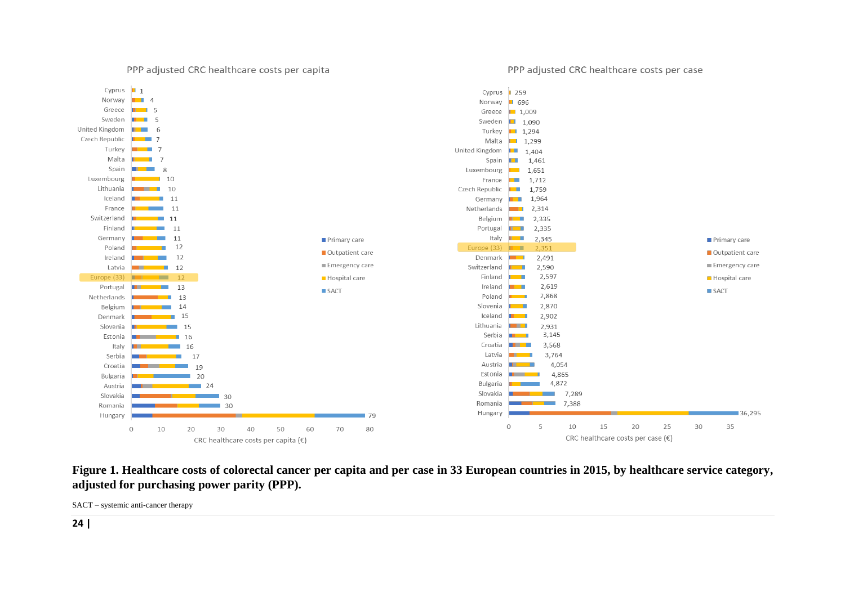PPP adjusted CRC healthcare costs per capita

#### PPP adjusted CRC healthcare costs per case



## **Figure 1. Healthcare costs of colorectal cancer per capita and per case in 33 European countries in 2015, by healthcare service category, adjusted for purchasing power parity (PPP).**

SACT – systemic anti-cancer therapy